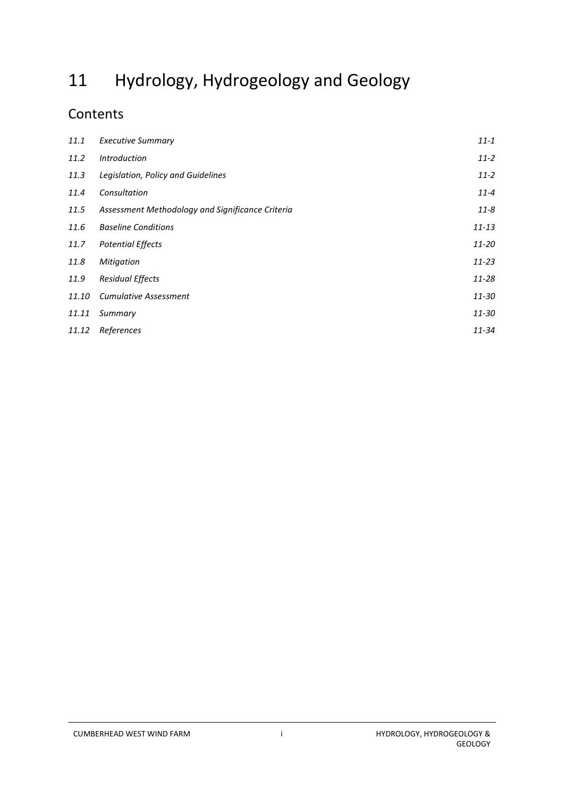# 11 Hydrology, Hydrogeology and Geology

# Contents

| 11.1  | <b>Executive Summary</b>                         | $11 - 1$  |
|-------|--------------------------------------------------|-----------|
| 11.2  | <b>Introduction</b>                              | $11 - 2$  |
| 11.3  | Legislation, Policy and Guidelines               | $11 - 2$  |
| 11.4  | Consultation                                     | $11 - 4$  |
| 11.5  | Assessment Methodology and Significance Criteria | $11 - 8$  |
| 11.6  | <b>Baseline Conditions</b>                       | $11 - 13$ |
| 11.7  | <b>Potential Effects</b>                         | $11 - 20$ |
| 11.8  | Mitigation                                       | $11 - 23$ |
| 11.9  | <b>Residual Effects</b>                          | $11 - 28$ |
| 11.10 | <b>Cumulative Assessment</b>                     | 11-30     |
| 11.11 | Summary                                          | 11-30     |
| 11.12 | References                                       | $11 - 34$ |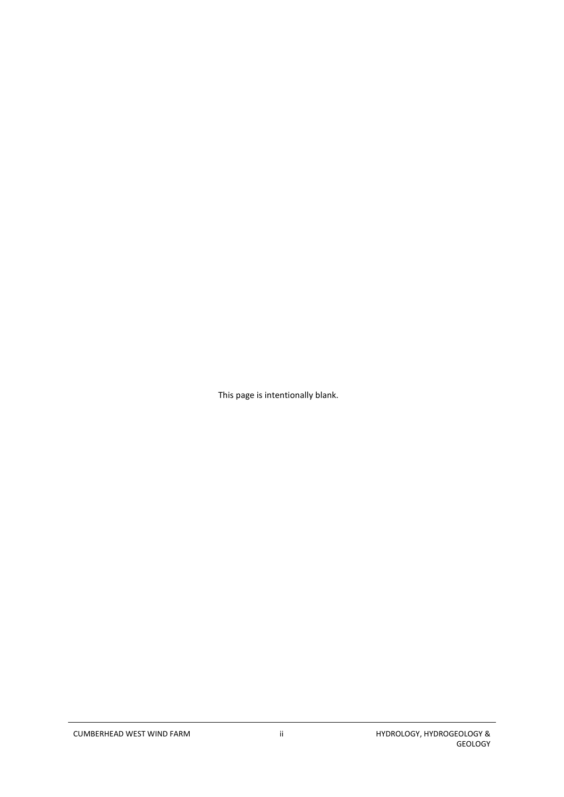This page is intentionally blank.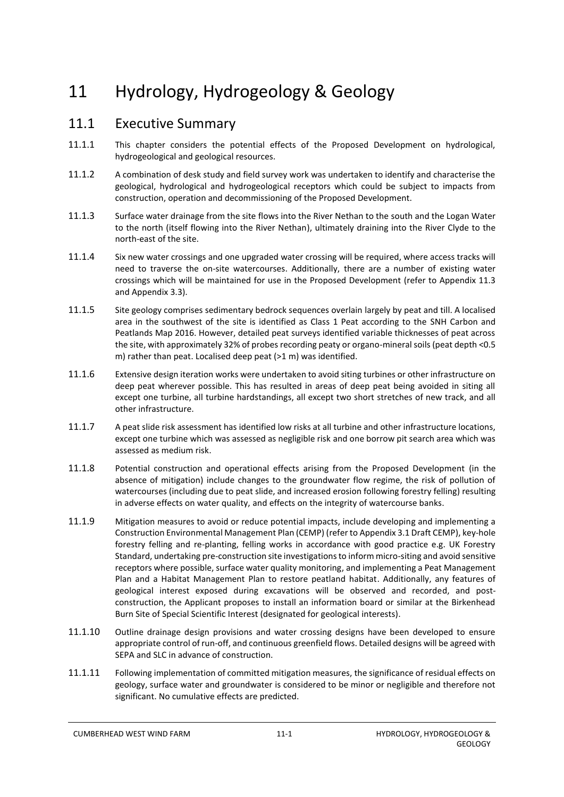# 11 Hydrology, Hydrogeology & Geology

# <span id="page-2-0"></span>11.1 Executive Summary

- 11.1.1 This chapter considers the potential effects of the Proposed Development on hydrological, hydrogeological and geological resources.
- 11.1.2 A combination of desk study and field survey work was undertaken to identify and characterise the geological, hydrological and hydrogeological receptors which could be subject to impacts from construction, operation and decommissioning of the Proposed Development.
- 11.1.3 Surface water drainage from the site flows into the River Nethan to the south and the Logan Water to the north (itself flowing into the River Nethan), ultimately draining into the River Clyde to the north-east of the site.
- 11.1.4 Six new water crossings and one upgraded water crossing will be required, where access tracks will need to traverse the on-site watercourses. Additionally, there are a number of existing water crossings which will be maintained for use in the Proposed Development (refer to Appendix 11.3 and Appendix 3.3).
- 11.1.5 Site geology comprises sedimentary bedrock sequences overlain largely by peat and till. A localised area in the southwest of the site is identified as Class 1 Peat according to the SNH Carbon and Peatlands Map 2016. However, detailed peat surveys identified variable thicknesses of peat across the site, with approximately 32% of probes recording peaty or organo-mineral soils (peat depth <0.5 m) rather than peat. Localised deep peat (>1 m) was identified.
- 11.1.6 Extensive design iteration works were undertaken to avoid siting turbines or other infrastructure on deep peat wherever possible. This has resulted in areas of deep peat being avoided in siting all except one turbine, all turbine hardstandings, all except two short stretches of new track, and all other infrastructure.
- 11.1.7 A peat slide risk assessment has identified low risks at all turbine and other infrastructure locations, except one turbine which was assessed as negligible risk and one borrow pit search area which was assessed as medium risk.
- 11.1.8 Potential construction and operational effects arising from the Proposed Development (in the absence of mitigation) include changes to the groundwater flow regime, the risk of pollution of watercourses (including due to peat slide, and increased erosion following forestry felling) resulting in adverse effects on water quality, and effects on the integrity of watercourse banks.
- 11.1.9 Mitigation measures to avoid or reduce potential impacts, include developing and implementing a Construction Environmental Management Plan (CEMP) (refer to Appendix 3.1 Draft CEMP), key-hole forestry felling and re-planting, felling works in accordance with good practice e.g. UK Forestry Standard, undertaking pre-construction site investigations to inform micro-siting and avoid sensitive receptors where possible, surface water quality monitoring, and implementing a Peat Management Plan and a Habitat Management Plan to restore peatland habitat. Additionally, any features of geological interest exposed during excavations will be observed and recorded, and postconstruction, the Applicant proposes to install an information board or similar at the Birkenhead Burn Site of Special Scientific Interest (designated for geological interests).
- 11.1.10 Outline drainage design provisions and water crossing designs have been developed to ensure appropriate control of run-off, and continuous greenfield flows. Detailed designs will be agreed with SEPA and SLC in advance of construction.
- 11.1.11 Following implementation of committed mitigation measures, the significance of residual effects on geology, surface water and groundwater is considered to be minor or negligible and therefore not significant. No cumulative effects are predicted.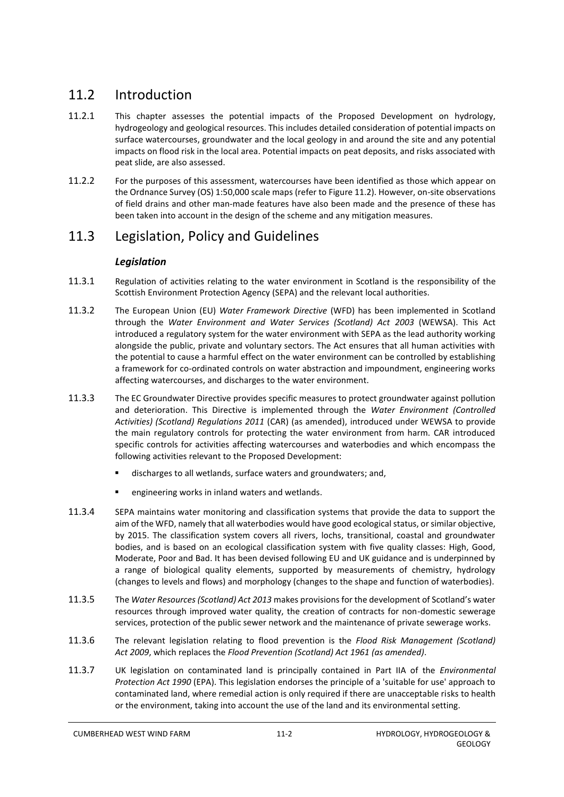# <span id="page-3-0"></span>11.2 Introduction

- 11.2.1 This chapter assesses the potential impacts of the Proposed Development on hydrology, hydrogeology and geological resources. This includes detailed consideration of potential impacts on surface watercourses, groundwater and the local geology in and around the site and any potential impacts on flood risk in the local area. Potential impacts on peat deposits, and risks associated with peat slide, are also assessed.
- 11.2.2 For the purposes of this assessment, watercourses have been identified as those which appear on the Ordnance Survey (OS) 1:50,000 scale maps (refer to Figure 11.2). However, on-site observations of field drains and other man-made features have also been made and the presence of these has been taken into account in the design of the scheme and any mitigation measures.

# <span id="page-3-1"></span>11.3 Legislation, Policy and Guidelines

# *Legislation*

- 11.3.1 Regulation of activities relating to the water environment in Scotland is the responsibility of the Scottish Environment Protection Agency (SEPA) and the relevant local authorities.
- 11.3.2 The European Union (EU) *Water Framework Directive* (WFD) has been implemented in Scotland through the *Water Environment and Water Services (Scotland) Act 2003* (WEWSA). This Act introduced a regulatory system for the water environment with SEPA as the lead authority working alongside the public, private and voluntary sectors. The Act ensures that all human activities with the potential to cause a harmful effect on the water environment can be controlled by establishing a framework for co-ordinated controls on water abstraction and impoundment, engineering works affecting watercourses, and discharges to the water environment.
- 11.3.3 The EC Groundwater Directive provides specific measures to protect groundwater against pollution and deterioration. This Directive is implemented through the *Water Environment (Controlled Activities) (Scotland) Regulations 2011* (CAR) (as amended), introduced under WEWSA to provide the main regulatory controls for protecting the water environment from harm. CAR introduced specific controls for activities affecting watercourses and waterbodies and which encompass the following activities relevant to the Proposed Development:
	- discharges to all wetlands, surface waters and groundwaters; and,
	- engineering works in inland waters and wetlands.
- 11.3.4 SEPA maintains water monitoring and classification systems that provide the data to support the aim of the WFD, namely that all waterbodies would have good ecological status, or similar objective, by 2015. The classification system covers all rivers, lochs, transitional, coastal and groundwater bodies, and is based on an ecological classification system with five quality classes: High, Good, Moderate, Poor and Bad. It has been devised following EU and UK guidance and is underpinned by a range of biological quality elements, supported by measurements of chemistry, hydrology (changes to levels and flows) and morphology (changes to the shape and function of waterbodies).
- 11.3.5 The *Water Resources (Scotland) Act 2013* makes provisions for the development of Scotland's water resources through improved water quality, the creation of contracts for non-domestic sewerage services, protection of the public sewer network and the maintenance of private sewerage works.
- 11.3.6 The relevant legislation relating to flood prevention is the *Flood Risk Management (Scotland) Act 2009*, which replaces the *Flood Prevention (Scotland) Act 1961 (as amended)*.
- 11.3.7 UK legislation on contaminated land is principally contained in Part IIA of the *Environmental Protection Act 1990* (EPA). This legislation endorses the principle of a 'suitable for use' approach to contaminated land, where remedial action is only required if there are unacceptable risks to health or the environment, taking into account the use of the land and its environmental setting.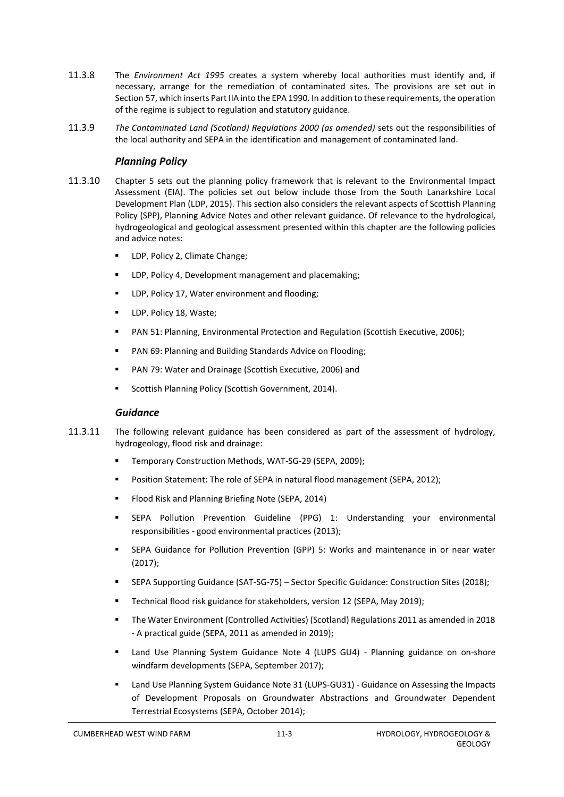- 11.3.8 The *Environment Act 1995* creates a system whereby local authorities must identify and, if necessary, arrange for the remediation of contaminated sites. The provisions are set out in Section 57, which inserts Part IIA into the EPA 1990. In addition to these requirements, the operation of the regime is subject to regulation and statutory guidance.
- 11.3.9 *The Contaminated Land (Scotland) Regulations 2000 (as amended)* sets out the responsibilities of the local authority and SEPA in the identification and management of contaminated land.

# *Planning Policy*

- 11.3.10 Chapter 5 sets out the planning policy framework that is relevant to the Environmental Impact Assessment (EIA). The policies set out below include those from the South Lanarkshire Local Development Plan (LDP, 2015). This section also considers the relevant aspects of Scottish Planning Policy (SPP), Planning Advice Notes and other relevant guidance. Of relevance to the hydrological, hydrogeological and geological assessment presented within this chapter are the following policies and advice notes:
	- LDP, Policy 2, Climate Change;
	- LDP, Policy 4, Development management and placemaking;
	- LDP, Policy 17, Water environment and flooding;
	- LDP, Policy 18, Waste;
	- PAN 51: Planning, Environmental Protection and Regulation (Scottish Executive, 2006);
	- PAN 69: Planning and Building Standards Advice on Flooding;
	- PAN 79: Water and Drainage (Scottish Executive, 2006) and
	- Scottish Planning Policy (Scottish Government, 2014).

# *Guidance*

- 11.3.11 The following relevant guidance has been considered as part of the assessment of hydrology, hydrogeology, flood risk and drainage:
	- Temporary Construction Methods, WAT-SG-29 (SEPA, 2009);
	- Position Statement: The role of SEPA in natural flood management (SEPA, 2012);
	- Flood Risk and Planning Briefing Note (SEPA, 2014)
	- SEPA Pollution Prevention Guideline (PPG) 1: Understanding your environmental responsibilities - good environmental practices (2013);
	- **EXEM** SEPA Guidance for Pollution Prevention (GPP) 5: Works and maintenance in or near water (2017);
	- SEPA Supporting Guidance (SAT-SG-75) Sector Specific Guidance: Construction Sites (2018);
	- Technical flood risk guidance for stakeholders, version 12 (SEPA, May 2019);
	- The Water Environment (Controlled Activities) (Scotland) Regulations 2011 as amended in 2018 - A practical guide (SEPA, 2011 as amended in 2019);
	- **■** Land Use Planning System Guidance Note 4 (LUPS GU4) Planning guidance on on-shore windfarm developments (SEPA, September 2017);
	- Land Use Planning System Guidance Note 31 (LUPS-GU31) Guidance on Assessing the Impacts of Development Proposals on Groundwater Abstractions and Groundwater Dependent Terrestrial Ecosystems (SEPA, October 2014);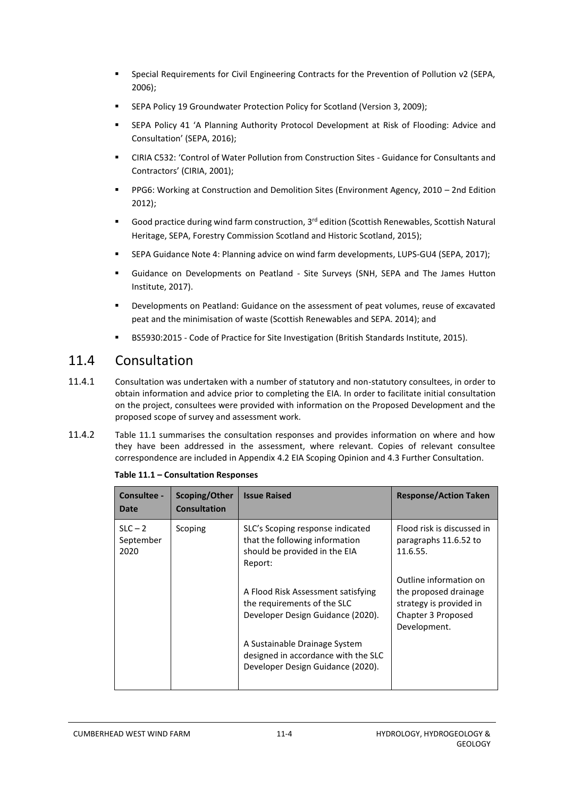- Special Requirements for Civil Engineering Contracts for the Prevention of Pollution v2 (SEPA, 2006);
- SEPA Policy 19 Groundwater Protection Policy for Scotland (Version 3, 2009);
- SEPA Policy 41 'A Planning Authority Protocol Development at Risk of Flooding: Advice and Consultation' (SEPA, 2016);
- CIRIA C532: 'Control of Water Pollution from Construction Sites Guidance for Consultants and Contractors' (CIRIA, 2001);
- PPG6: Working at Construction and Demolition Sites (Environment Agency, 2010 2nd Edition 2012);
- Good practice during wind farm construction, 3<sup>rd</sup> edition (Scottish Renewables, Scottish Natural Heritage, SEPA, Forestry Commission Scotland and Historic Scotland, 2015);
- SEPA Guidance Note 4: Planning advice on wind farm developments, LUPS-GU4 (SEPA, 2017);
- Guidance on Developments on Peatland Site Surveys (SNH, SEPA and The James Hutton Institute, 2017).
- Developments on Peatland: Guidance on the assessment of peat volumes, reuse of excavated peat and the minimisation of waste (Scottish Renewables and SEPA. 2014); and
- BS5930:2015 Code of Practice for Site Investigation (British Standards Institute, 2015).

# <span id="page-5-0"></span>11.4 Consultation

- 11.4.1 Consultation was undertaken with a number of statutory and non-statutory consultees, in order to obtain information and advice prior to completing the EIA. In order to facilitate initial consultation on the project, consultees were provided with information on the Proposed Development and the proposed scope of survey and assessment work.
- 11.4.2 Table 11.1 summarises the consultation responses and provides information on where and how they have been addressed in the assessment, where relevant. Copies of relevant consultee correspondence are included in Appendix 4.2 EIA Scoping Opinion and 4.3 Further Consultation.

| Consultee -<br>Date            | Scoping/Other<br><b>Consultation</b> | <b>Issue Raised</b>                                                                                            | <b>Response/Action Taken</b>                                                                                     |
|--------------------------------|--------------------------------------|----------------------------------------------------------------------------------------------------------------|------------------------------------------------------------------------------------------------------------------|
| $SLC - 2$<br>September<br>2020 | Scoping                              | SLC's Scoping response indicated<br>that the following information<br>should be provided in the EIA<br>Report: | Flood risk is discussed in<br>paragraphs 11.6.52 to<br>11.6.55.                                                  |
|                                |                                      | A Flood Risk Assessment satisfying<br>the requirements of the SLC<br>Developer Design Guidance (2020).         | Outline information on<br>the proposed drainage<br>strategy is provided in<br>Chapter 3 Proposed<br>Development. |
|                                |                                      | A Sustainable Drainage System<br>designed in accordance with the SLC<br>Developer Design Guidance (2020).      |                                                                                                                  |

**Table 11.1 – Consultation Responses**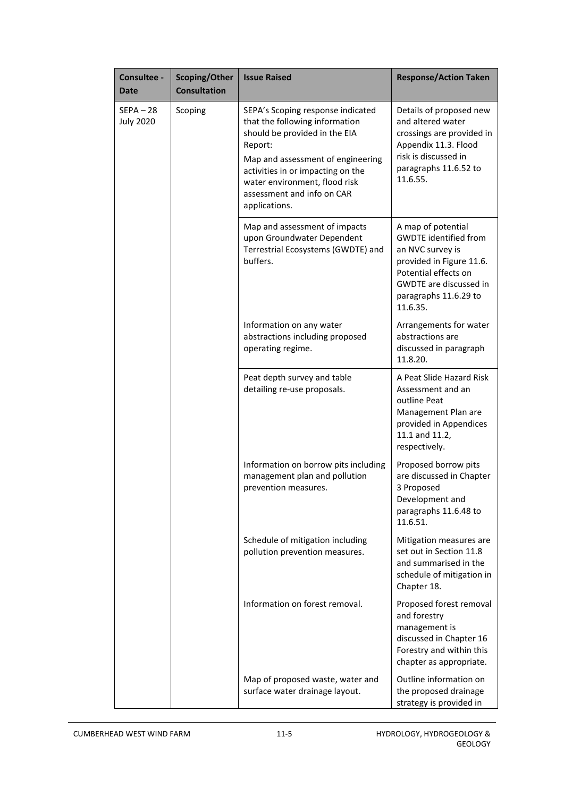| Consultee -<br><b>Date</b>               | <b>Scoping/Other</b><br><b>Consultation</b> | <b>Issue Raised</b>                                                                                                                                                                                                                                                       | <b>Response/Action Taken</b>                                                                                                                                                              |
|------------------------------------------|---------------------------------------------|---------------------------------------------------------------------------------------------------------------------------------------------------------------------------------------------------------------------------------------------------------------------------|-------------------------------------------------------------------------------------------------------------------------------------------------------------------------------------------|
| SEPA - 28<br>Scoping<br><b>July 2020</b> |                                             | SEPA's Scoping response indicated<br>that the following information<br>should be provided in the EIA<br>Report:<br>Map and assessment of engineering<br>activities in or impacting on the<br>water environment, flood risk<br>assessment and info on CAR<br>applications. | Details of proposed new<br>and altered water<br>crossings are provided in<br>Appendix 11.3. Flood<br>risk is discussed in<br>paragraphs 11.6.52 to<br>11.6.55.                            |
|                                          |                                             | Map and assessment of impacts<br>upon Groundwater Dependent<br>Terrestrial Ecosystems (GWDTE) and<br>buffers.                                                                                                                                                             | A map of potential<br><b>GWDTE</b> identified from<br>an NVC survey is<br>provided in Figure 11.6.<br>Potential effects on<br>GWDTE are discussed in<br>paragraphs 11.6.29 to<br>11.6.35. |
|                                          |                                             | Information on any water<br>abstractions including proposed<br>operating regime.                                                                                                                                                                                          | Arrangements for water<br>abstractions are<br>discussed in paragraph<br>11.8.20.                                                                                                          |
|                                          |                                             | Peat depth survey and table<br>detailing re-use proposals.                                                                                                                                                                                                                | A Peat Slide Hazard Risk<br>Assessment and an<br>outline Peat<br>Management Plan are<br>provided in Appendices<br>11.1 and 11.2,<br>respectively.                                         |
|                                          |                                             | Information on borrow pits including<br>management plan and pollution<br>prevention measures.                                                                                                                                                                             | Proposed borrow pits<br>are discussed in Chapter<br>3 Proposed<br>Development and<br>paragraphs 11.6.48 to<br>11.6.51.                                                                    |
|                                          |                                             | Schedule of mitigation including<br>pollution prevention measures.                                                                                                                                                                                                        | Mitigation measures are<br>set out in Section 11.8<br>and summarised in the<br>schedule of mitigation in<br>Chapter 18.                                                                   |
|                                          |                                             | Information on forest removal.                                                                                                                                                                                                                                            | Proposed forest removal<br>and forestry<br>management is<br>discussed in Chapter 16<br>Forestry and within this<br>chapter as appropriate.                                                |
|                                          |                                             | Map of proposed waste, water and<br>surface water drainage layout.                                                                                                                                                                                                        | Outline information on<br>the proposed drainage<br>strategy is provided in                                                                                                                |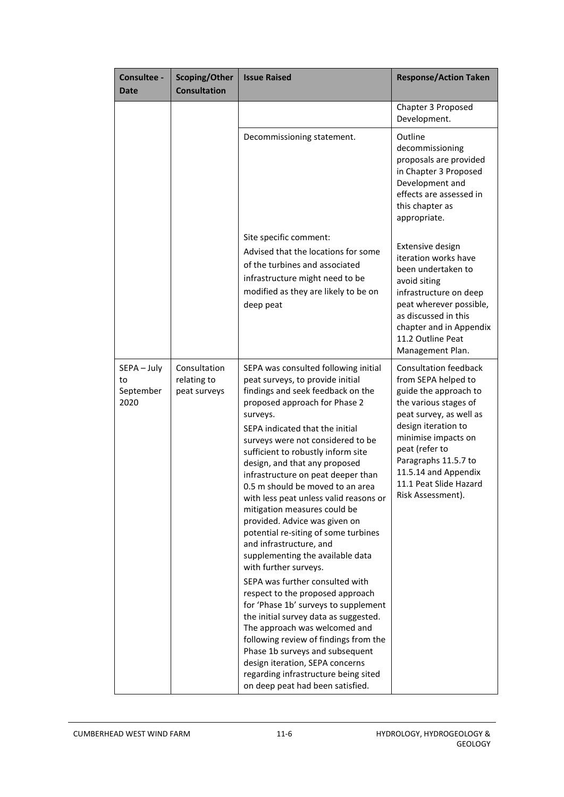| Consultee -<br><b>Date</b>             | <b>Scoping/Other</b><br><b>Consultation</b> | <b>Issue Raised</b>                                                                                                                                                                                                                                                                                                                                                                                                                                                                                                                                                                                                                                                                                                                                                                                                                                                                                                                                                                                                | <b>Response/Action Taken</b>                                                                                                                                                                                                                                                                    |
|----------------------------------------|---------------------------------------------|--------------------------------------------------------------------------------------------------------------------------------------------------------------------------------------------------------------------------------------------------------------------------------------------------------------------------------------------------------------------------------------------------------------------------------------------------------------------------------------------------------------------------------------------------------------------------------------------------------------------------------------------------------------------------------------------------------------------------------------------------------------------------------------------------------------------------------------------------------------------------------------------------------------------------------------------------------------------------------------------------------------------|-------------------------------------------------------------------------------------------------------------------------------------------------------------------------------------------------------------------------------------------------------------------------------------------------|
|                                        |                                             |                                                                                                                                                                                                                                                                                                                                                                                                                                                                                                                                                                                                                                                                                                                                                                                                                                                                                                                                                                                                                    | Chapter 3 Proposed<br>Development.                                                                                                                                                                                                                                                              |
|                                        |                                             | Decommissioning statement.                                                                                                                                                                                                                                                                                                                                                                                                                                                                                                                                                                                                                                                                                                                                                                                                                                                                                                                                                                                         | Outline<br>decommissioning<br>proposals are provided<br>in Chapter 3 Proposed<br>Development and<br>effects are assessed in<br>this chapter as<br>appropriate.                                                                                                                                  |
|                                        |                                             | Site specific comment:<br>Advised that the locations for some<br>of the turbines and associated<br>infrastructure might need to be<br>modified as they are likely to be on<br>deep peat                                                                                                                                                                                                                                                                                                                                                                                                                                                                                                                                                                                                                                                                                                                                                                                                                            | Extensive design<br>iteration works have<br>been undertaken to<br>avoid siting<br>infrastructure on deep<br>peat wherever possible,<br>as discussed in this<br>chapter and in Appendix<br>11.2 Outline Peat<br>Management Plan.                                                                 |
| SEPA - July<br>to<br>September<br>2020 | Consultation<br>relating to<br>peat surveys | SEPA was consulted following initial<br>peat surveys, to provide initial<br>findings and seek feedback on the<br>proposed approach for Phase 2<br>surveys.<br>SEPA indicated that the initial<br>surveys were not considered to be<br>sufficient to robustly inform site<br>design, and that any proposed<br>infrastructure on peat deeper than<br>0.5 m should be moved to an area<br>with less peat unless valid reasons or<br>mitigation measures could be<br>provided. Advice was given on<br>potential re-siting of some turbines<br>and infrastructure, and<br>supplementing the available data<br>with further surveys.<br>SEPA was further consulted with<br>respect to the proposed approach<br>for 'Phase 1b' surveys to supplement<br>the initial survey data as suggested.<br>The approach was welcomed and<br>following review of findings from the<br>Phase 1b surveys and subsequent<br>design iteration, SEPA concerns<br>regarding infrastructure being sited<br>on deep peat had been satisfied. | <b>Consultation feedback</b><br>from SEPA helped to<br>guide the approach to<br>the various stages of<br>peat survey, as well as<br>design iteration to<br>minimise impacts on<br>peat (refer to<br>Paragraphs 11.5.7 to<br>11.5.14 and Appendix<br>11.1 Peat Slide Hazard<br>Risk Assessment). |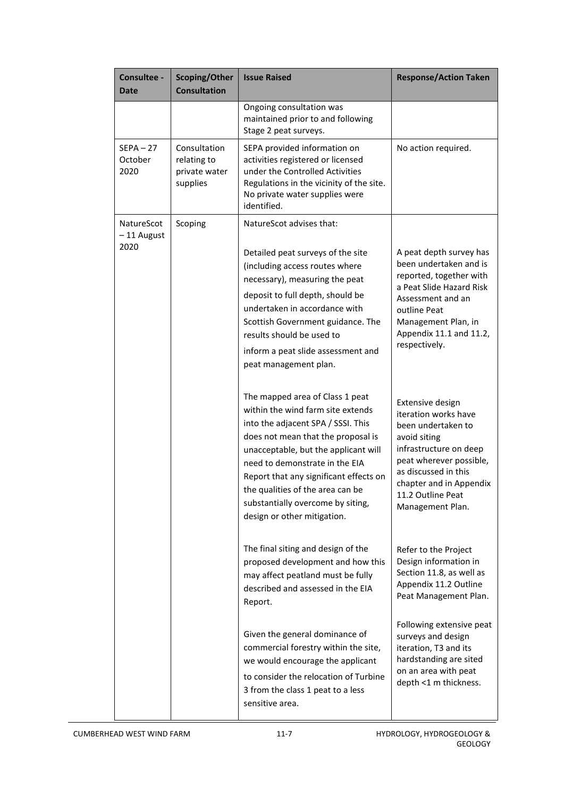| Consultee -<br><b>Date</b>         | Scoping/Other<br><b>Consultation</b>                     | <b>Issue Raised</b>                                                                                                                                                                                                                                                                                                                                                          | <b>Response/Action Taken</b>                                                                                                                                                                                                    |
|------------------------------------|----------------------------------------------------------|------------------------------------------------------------------------------------------------------------------------------------------------------------------------------------------------------------------------------------------------------------------------------------------------------------------------------------------------------------------------------|---------------------------------------------------------------------------------------------------------------------------------------------------------------------------------------------------------------------------------|
|                                    |                                                          | Ongoing consultation was<br>maintained prior to and following<br>Stage 2 peat surveys.                                                                                                                                                                                                                                                                                       |                                                                                                                                                                                                                                 |
| $SEPA - 27$<br>October<br>2020     | Consultation<br>relating to<br>private water<br>supplies | SEPA provided information on<br>activities registered or licensed<br>under the Controlled Activities<br>Regulations in the vicinity of the site.<br>No private water supplies were<br>identified.                                                                                                                                                                            | No action required.                                                                                                                                                                                                             |
| NatureScot<br>$-11$ August<br>2020 | Scoping                                                  | NatureScot advises that:<br>Detailed peat surveys of the site<br>(including access routes where<br>necessary), measuring the peat<br>deposit to full depth, should be<br>undertaken in accordance with<br>Scottish Government guidance. The<br>results should be used to<br>inform a peat slide assessment and<br>peat management plan.                                      | A peat depth survey has<br>been undertaken and is<br>reported, together with<br>a Peat Slide Hazard Risk<br>Assessment and an<br>outline Peat<br>Management Plan, in<br>Appendix 11.1 and 11.2,<br>respectively.                |
|                                    |                                                          | The mapped area of Class 1 peat<br>within the wind farm site extends<br>into the adjacent SPA / SSSI. This<br>does not mean that the proposal is<br>unacceptable, but the applicant will<br>need to demonstrate in the EIA<br>Report that any significant effects on<br>the qualities of the area can be<br>substantially overcome by siting,<br>design or other mitigation. | Extensive design<br>iteration works have<br>been undertaken to<br>avoid siting<br>infrastructure on deep<br>peat wherever possible,<br>as discussed in this<br>chapter and in Appendix<br>11.2 Outline Peat<br>Management Plan. |
|                                    |                                                          | The final siting and design of the<br>proposed development and how this<br>may affect peatland must be fully<br>described and assessed in the EIA<br>Report.                                                                                                                                                                                                                 | Refer to the Project<br>Design information in<br>Section 11.8, as well as<br>Appendix 11.2 Outline<br>Peat Management Plan.                                                                                                     |
|                                    |                                                          | Given the general dominance of<br>commercial forestry within the site,<br>we would encourage the applicant<br>to consider the relocation of Turbine<br>3 from the class 1 peat to a less<br>sensitive area.                                                                                                                                                                  | Following extensive peat<br>surveys and design<br>iteration, T3 and its<br>hardstanding are sited<br>on an area with peat<br>depth <1 m thickness.                                                                              |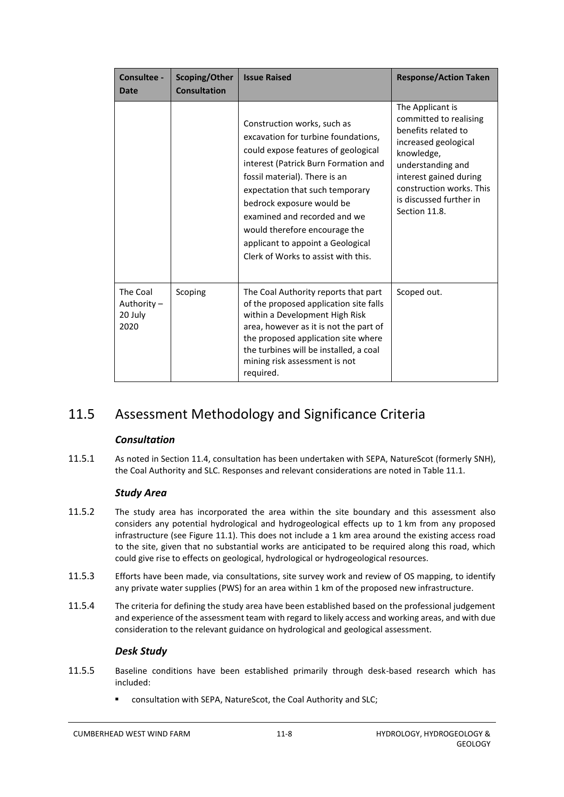| Consultee -<br><b>Date</b>                 | Scoping/Other<br><b>Consultation</b> | <b>Issue Raised</b>                                                                                                                                                                                                                                                                                                                                                                             | <b>Response/Action Taken</b>                                                                                                                                                                                                   |
|--------------------------------------------|--------------------------------------|-------------------------------------------------------------------------------------------------------------------------------------------------------------------------------------------------------------------------------------------------------------------------------------------------------------------------------------------------------------------------------------------------|--------------------------------------------------------------------------------------------------------------------------------------------------------------------------------------------------------------------------------|
|                                            |                                      | Construction works, such as<br>excavation for turbine foundations,<br>could expose features of geological<br>interest (Patrick Burn Formation and<br>fossil material). There is an<br>expectation that such temporary<br>bedrock exposure would be<br>examined and recorded and we<br>would therefore encourage the<br>applicant to appoint a Geological<br>Clerk of Works to assist with this. | The Applicant is<br>committed to realising<br>benefits related to<br>increased geological<br>knowledge,<br>understanding and<br>interest gained during<br>construction works. This<br>is discussed further in<br>Section 11.8. |
| The Coal<br>Authority -<br>20 July<br>2020 | Scoping                              | The Coal Authority reports that part<br>of the proposed application site falls<br>within a Development High Risk<br>area, however as it is not the part of<br>the proposed application site where<br>the turbines will be installed, a coal<br>mining risk assessment is not<br>required.                                                                                                       | Scoped out.                                                                                                                                                                                                                    |

# <span id="page-9-0"></span>11.5 Assessment Methodology and Significance Criteria

# *Consultation*

11.5.1 As noted in Section 11.4, consultation has been undertaken with SEPA, NatureScot (formerly SNH), the Coal Authority and SLC. Responses and relevant considerations are noted in Table 11.1.

# *Study Area*

- 11.5.2 The study area has incorporated the area within the site boundary and this assessment also considers any potential hydrological and hydrogeological effects up to 1 km from any proposed infrastructure (see Figure 11.1). This does not include a 1 km area around the existing access road to the site, given that no substantial works are anticipated to be required along this road, which could give rise to effects on geological, hydrological or hydrogeological resources.
- 11.5.3 Efforts have been made, via consultations, site survey work and review of OS mapping, to identify any private water supplies (PWS) for an area within 1 km of the proposed new infrastructure.
- 11.5.4 The criteria for defining the study area have been established based on the professional judgement and experience of the assessment team with regard to likely access and working areas, and with due consideration to the relevant guidance on hydrological and geological assessment.

# *Desk Study*

- 11.5.5 Baseline conditions have been established primarily through desk-based research which has included:
	- consultation with SEPA, NatureScot, the Coal Authority and SLC;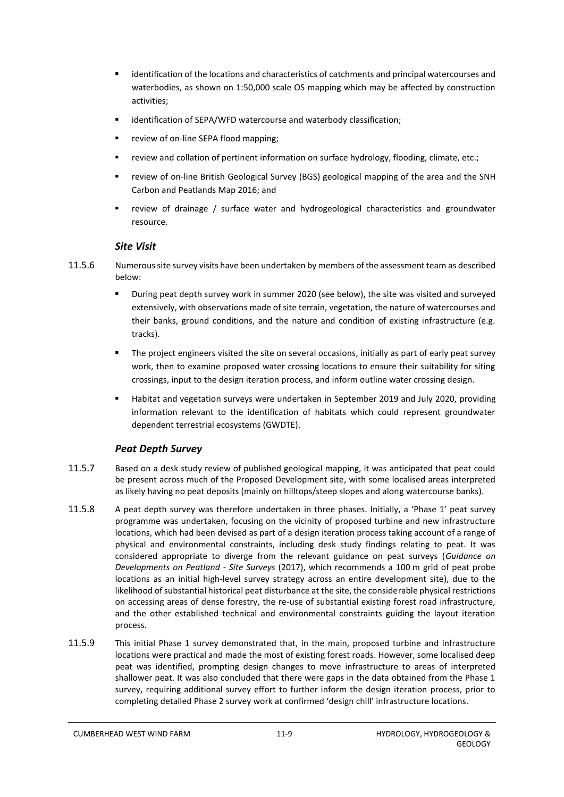- identification of the locations and characteristics of catchments and principal watercourses and waterbodies, as shown on 1:50,000 scale OS mapping which may be affected by construction activities;
- identification of SEPA/WFD watercourse and waterbody classification;
- review of on-line SEPA flood mapping;
- review and collation of pertinent information on surface hydrology, flooding, climate, etc.;
- **■** review of on-line British Geological Survey (BGS) geological mapping of the area and the SNH Carbon and Peatlands Map 2016; and
- review of drainage / surface water and hydrogeological characteristics and groundwater resource.

# *Site Visit*

- 11.5.6 Numerous site survey visits have been undertaken by members of the assessment team as described below:
	- **■** During peat depth survey work in summer 2020 (see below), the site was visited and surveyed extensively, with observations made of site terrain, vegetation, the nature of watercourses and their banks, ground conditions, and the nature and condition of existing infrastructure (e.g. tracks).
	- The project engineers visited the site on several occasions, initially as part of early peat survey work, then to examine proposed water crossing locations to ensure their suitability for siting crossings, input to the design iteration process, and inform outline water crossing design.
	- Habitat and vegetation surveys were undertaken in September 2019 and July 2020, providing information relevant to the identification of habitats which could represent groundwater dependent terrestrial ecosystems (GWDTE).

# *Peat Depth Survey*

- 11.5.7 Based on a desk study review of published geological mapping, it was anticipated that peat could be present across much of the Proposed Development site, with some localised areas interpreted as likely having no peat deposits (mainly on hilltops/steep slopes and along watercourse banks).
- 11.5.8 A peat depth survey was therefore undertaken in three phases. Initially, a 'Phase 1' peat survey programme was undertaken, focusing on the vicinity of proposed turbine and new infrastructure locations, which had been devised as part of a design iteration process taking account of a range of physical and environmental constraints, including desk study findings relating to peat. It was considered appropriate to diverge from the relevant guidance on peat surveys (*Guidance on Developments on Peatland - Site Surveys* (2017), which recommends a 100 m grid of peat probe locations as an initial high-level survey strategy across an entire development site), due to the likelihood of substantial historical peat disturbance at the site, the considerable physical restrictions on accessing areas of dense forestry, the re-use of substantial existing forest road infrastructure, and the other established technical and environmental constraints guiding the layout iteration process.
- 11.5.9 This initial Phase 1 survey demonstrated that, in the main, proposed turbine and infrastructure locations were practical and made the most of existing forest roads. However, some localised deep peat was identified, prompting design changes to move infrastructure to areas of interpreted shallower peat. It was also concluded that there were gaps in the data obtained from the Phase 1 survey, requiring additional survey effort to further inform the design iteration process, prior to completing detailed Phase 2 survey work at confirmed 'design chill' infrastructure locations.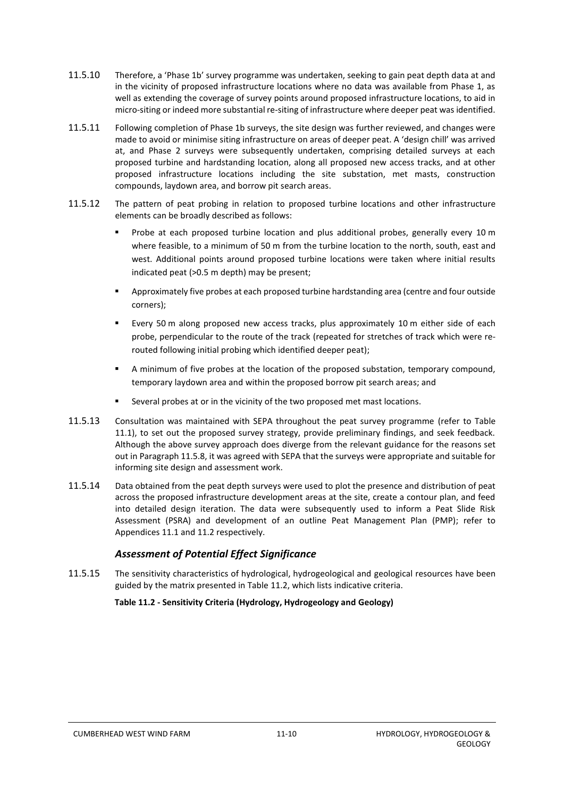- 11.5.10 Therefore, a 'Phase 1b' survey programme was undertaken, seeking to gain peat depth data at and in the vicinity of proposed infrastructure locations where no data was available from Phase 1, as well as extending the coverage of survey points around proposed infrastructure locations, to aid in micro-siting or indeed more substantial re-siting of infrastructure where deeper peat was identified.
- 11.5.11 Following completion of Phase 1b surveys, the site design was further reviewed, and changes were made to avoid or minimise siting infrastructure on areas of deeper peat. A 'design chill' was arrived at, and Phase 2 surveys were subsequently undertaken, comprising detailed surveys at each proposed turbine and hardstanding location, along all proposed new access tracks, and at other proposed infrastructure locations including the site substation, met masts, construction compounds, laydown area, and borrow pit search areas.
- 11.5.12 The pattern of peat probing in relation to proposed turbine locations and other infrastructure elements can be broadly described as follows:
	- **•** Probe at each proposed turbine location and plus additional probes, generally every 10 m where feasible, to a minimum of 50 m from the turbine location to the north, south, east and west. Additional points around proposed turbine locations were taken where initial results indicated peat (>0.5 m depth) may be present;
	- Approximately five probes at each proposed turbine hardstanding area (centre and four outside corners);
	- Every 50 m along proposed new access tracks, plus approximately 10 m either side of each probe, perpendicular to the route of the track (repeated for stretches of track which were rerouted following initial probing which identified deeper peat);
	- **E** A minimum of five probes at the location of the proposed substation, temporary compound, temporary laydown area and within the proposed borrow pit search areas; and
	- Several probes at or in the vicinity of the two proposed met mast locations.
- 11.5.13 Consultation was maintained with SEPA throughout the peat survey programme (refer to Table 11.1), to set out the proposed survey strategy, provide preliminary findings, and seek feedback. Although the above survey approach does diverge from the relevant guidance for the reasons set out in Paragraph 11.5.8, it was agreed with SEPA that the surveys were appropriate and suitable for informing site design and assessment work.
- 11.5.14 Data obtained from the peat depth surveys were used to plot the presence and distribution of peat across the proposed infrastructure development areas at the site, create a contour plan, and feed into detailed design iteration. The data were subsequently used to inform a Peat Slide Risk Assessment (PSRA) and development of an outline Peat Management Plan (PMP); refer to Appendices 11.1 and 11.2 respectively.

# *Assessment of Potential Effect Significance*

11.5.15 The sensitivity characteristics of hydrological, hydrogeological and geological resources have been guided by the matrix presented in Table 11.2, which lists indicative criteria.

**Table 11.2 - Sensitivity Criteria (Hydrology, Hydrogeology and Geology)**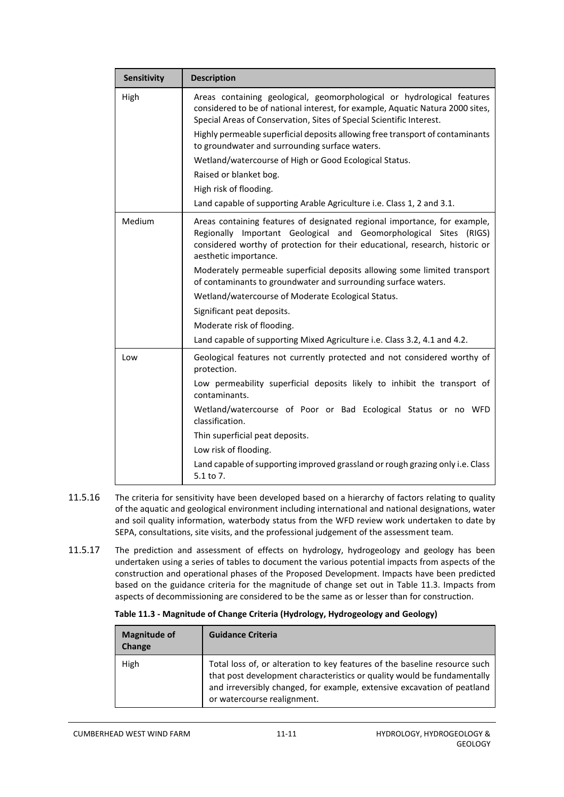| Sensitivity | <b>Description</b>                                                                                                                                                                                                                                      |  |  |
|-------------|---------------------------------------------------------------------------------------------------------------------------------------------------------------------------------------------------------------------------------------------------------|--|--|
| High        | Areas containing geological, geomorphological or hydrological features<br>considered to be of national interest, for example, Aquatic Natura 2000 sites,<br>Special Areas of Conservation, Sites of Special Scientific Interest.                        |  |  |
|             | Highly permeable superficial deposits allowing free transport of contaminants<br>to groundwater and surrounding surface waters.                                                                                                                         |  |  |
|             | Wetland/watercourse of High or Good Ecological Status.                                                                                                                                                                                                  |  |  |
|             | Raised or blanket bog.                                                                                                                                                                                                                                  |  |  |
|             | High risk of flooding.                                                                                                                                                                                                                                  |  |  |
|             | Land capable of supporting Arable Agriculture i.e. Class 1, 2 and 3.1.                                                                                                                                                                                  |  |  |
| Medium      | Areas containing features of designated regional importance, for example,<br>Regionally Important Geological and Geomorphological Sites (RIGS)<br>considered worthy of protection for their educational, research, historic or<br>aesthetic importance. |  |  |
|             | Moderately permeable superficial deposits allowing some limited transport<br>of contaminants to groundwater and surrounding surface waters.                                                                                                             |  |  |
|             | Wetland/watercourse of Moderate Ecological Status.                                                                                                                                                                                                      |  |  |
|             | Significant peat deposits.                                                                                                                                                                                                                              |  |  |
|             | Moderate risk of flooding.                                                                                                                                                                                                                              |  |  |
|             | Land capable of supporting Mixed Agriculture i.e. Class 3.2, 4.1 and 4.2.                                                                                                                                                                               |  |  |
| Low         | Geological features not currently protected and not considered worthy of<br>protection.                                                                                                                                                                 |  |  |
|             | Low permeability superficial deposits likely to inhibit the transport of<br>contaminants.                                                                                                                                                               |  |  |
|             | Wetland/watercourse of Poor or Bad Ecological Status or no WFD<br>classification.                                                                                                                                                                       |  |  |
|             | Thin superficial peat deposits.                                                                                                                                                                                                                         |  |  |
|             | Low risk of flooding.                                                                                                                                                                                                                                   |  |  |
|             | Land capable of supporting improved grassland or rough grazing only i.e. Class<br>5.1 to 7.                                                                                                                                                             |  |  |

- 11.5.16 The criteria for sensitivity have been developed based on a hierarchy of factors relating to quality of the aquatic and geological environment including international and national designations, water and soil quality information, waterbody status from the WFD review work undertaken to date by SEPA, consultations, site visits, and the professional judgement of the assessment team.
- 11.5.17 The prediction and assessment of effects on hydrology, hydrogeology and geology has been undertaken using a series of tables to document the various potential impacts from aspects of the construction and operational phases of the Proposed Development. Impacts have been predicted based on the guidance criteria for the magnitude of change set out in Table 11.3. Impacts from aspects of decommissioning are considered to be the same as or lesser than for construction.

| <b>Magnitude of</b><br>Change | <b>Guidance Criteria</b>                                                                                                                                                                                                                                        |
|-------------------------------|-----------------------------------------------------------------------------------------------------------------------------------------------------------------------------------------------------------------------------------------------------------------|
| High                          | Total loss of, or alteration to key features of the baseline resource such<br>that post development characteristics or quality would be fundamentally<br>and irreversibly changed, for example, extensive excavation of peatland<br>or watercourse realignment. |

#### **Table 11.3 - Magnitude of Change Criteria (Hydrology, Hydrogeology and Geology)**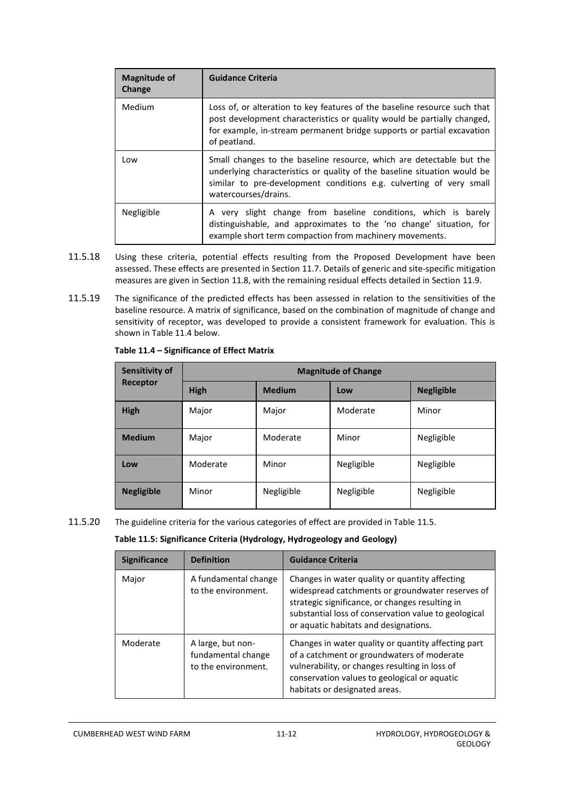| <b>Magnitude of</b><br>Change | <b>Guidance Criteria</b>                                                                                                                                                                                                                        |  |
|-------------------------------|-------------------------------------------------------------------------------------------------------------------------------------------------------------------------------------------------------------------------------------------------|--|
| Medium                        | Loss of, or alteration to key features of the baseline resource such that<br>post development characteristics or quality would be partially changed,<br>for example, in-stream permanent bridge supports or partial excavation<br>of peatland.  |  |
| Low                           | Small changes to the baseline resource, which are detectable but the<br>underlying characteristics or quality of the baseline situation would be<br>similar to pre-development conditions e.g. culverting of very small<br>watercourses/drains. |  |
| Negligible                    | A very slight change from baseline conditions, which is barely<br>distinguishable, and approximates to the 'no change' situation, for<br>example short term compaction from machinery movements.                                                |  |

- 11.5.18 Using these criteria, potential effects resulting from the Proposed Development have been assessed. These effects are presented in Section 11.7. Details of generic and site-specific mitigation measures are given in Section 11.8, with the remaining residual effects detailed in Section 11.9.
- 11.5.19 The significance of the predicted effects has been assessed in relation to the sensitivities of the baseline resource. A matrix of significance, based on the combination of magnitude of change and sensitivity of receptor, was developed to provide a consistent framework for evaluation. This is shown in Table 11.4 below.

| Sensitivity of    | <b>Magnitude of Change</b> |               |            |                   |
|-------------------|----------------------------|---------------|------------|-------------------|
| Receptor          | <b>High</b>                | <b>Medium</b> | Low        | <b>Negligible</b> |
| <b>High</b>       | Major                      | Major         | Moderate   | Minor             |
| <b>Medium</b>     | Major                      | Moderate      | Minor      | Negligible        |
| Low               | Moderate                   | Minor         | Negligible | Negligible        |
| <b>Negligible</b> | Minor                      | Negligible    | Negligible | Negligible        |

**Table 11.4 – Significance of Effect Matrix**

11.5.20 The guideline criteria for the various categories of effect are provided in Table 11.5.

#### **Table 11.5: Significance Criteria (Hydrology, Hydrogeology and Geology)**

| <b>Significance</b> | <b>Definition</b>                                              | <b>Guidance Criteria</b>                                                                                                                                                                                                                               |
|---------------------|----------------------------------------------------------------|--------------------------------------------------------------------------------------------------------------------------------------------------------------------------------------------------------------------------------------------------------|
| Major               | A fundamental change<br>to the environment.                    | Changes in water quality or quantity affecting<br>widespread catchments or groundwater reserves of<br>strategic significance, or changes resulting in<br>substantial loss of conservation value to geological<br>or aquatic habitats and designations. |
| Moderate            | A large, but non-<br>fundamental change<br>to the environment. | Changes in water quality or quantity affecting part<br>of a catchment or groundwaters of moderate<br>vulnerability, or changes resulting in loss of<br>conservation values to geological or aquatic<br>habitats or designated areas.                   |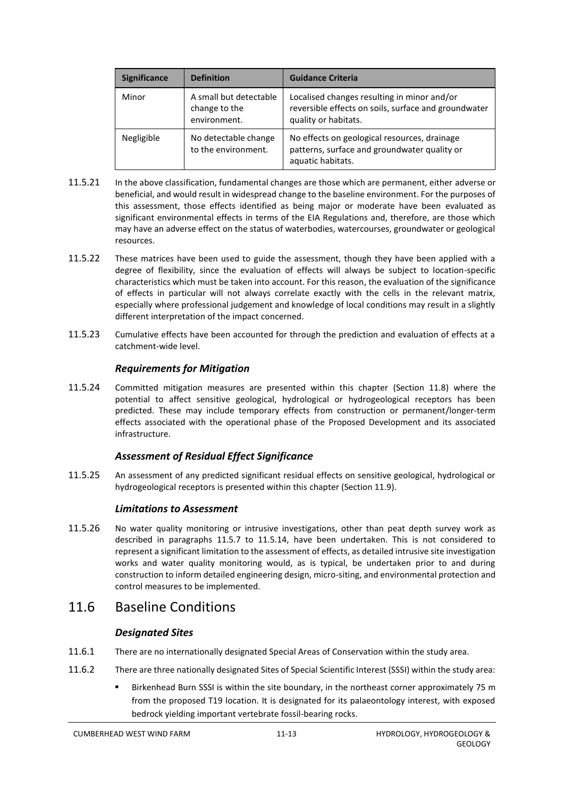| <b>Significance</b> | <b>Definition</b>                                       | <b>Guidance Criteria</b>                                                                                                    |
|---------------------|---------------------------------------------------------|-----------------------------------------------------------------------------------------------------------------------------|
| Minor               | A small but detectable<br>change to the<br>environment. | Localised changes resulting in minor and/or<br>reversible effects on soils, surface and groundwater<br>quality or habitats. |
| Negligible          | No detectable change<br>to the environment.             | No effects on geological resources, drainage<br>patterns, surface and groundwater quality or<br>aquatic habitats.           |

- 11.5.21 In the above classification, fundamental changes are those which are permanent, either adverse or beneficial, and would result in widespread change to the baseline environment. For the purposes of this assessment, those effects identified as being major or moderate have been evaluated as significant environmental effects in terms of the EIA Regulations and, therefore, are those which may have an adverse effect on the status of waterbodies, watercourses, groundwater or geological resources.
- 11.5.22 These matrices have been used to guide the assessment, though they have been applied with a degree of flexibility, since the evaluation of effects will always be subject to location-specific characteristics which must be taken into account. For this reason, the evaluation of the significance of effects in particular will not always correlate exactly with the cells in the relevant matrix, especially where professional judgement and knowledge of local conditions may result in a slightly different interpretation of the impact concerned.
- 11.5.23 Cumulative effects have been accounted for through the prediction and evaluation of effects at a catchment-wide level.

# *Requirements for Mitigation*

11.5.24 Committed mitigation measures are presented within this chapter (Section 11.8) where the potential to affect sensitive geological, hydrological or hydrogeological receptors has been predicted. These may include temporary effects from construction or permanent/longer-term effects associated with the operational phase of the Proposed Development and its associated infrastructure.

# *Assessment of Residual Effect Significance*

11.5.25 An assessment of any predicted significant residual effects on sensitive geological, hydrological or hydrogeological receptors is presented within this chapter (Section 11.9).

# *Limitations to Assessment*

11.5.26 No water quality monitoring or intrusive investigations, other than peat depth survey work as described in paragraphs 11.5.7 to 11.5.14, have been undertaken. This is not considered to represent a significant limitation to the assessment of effects, as detailed intrusive site investigation works and water quality monitoring would, as is typical, be undertaken prior to and during construction to inform detailed engineering design, micro-siting, and environmental protection and control measures to be implemented.

# <span id="page-14-0"></span>11.6 Baseline Conditions

# *Designated Sites*

- 11.6.1 There are no internationally designated Special Areas of Conservation within the study area.
- 11.6.2 There are three nationally designated Sites of Special Scientific Interest (SSSI) within the study area:
	- Birkenhead Burn SSSI is within the site boundary, in the northeast corner approximately 75 m from the proposed T19 location. It is designated for its palaeontology interest, with exposed bedrock yielding important vertebrate fossil-bearing rocks.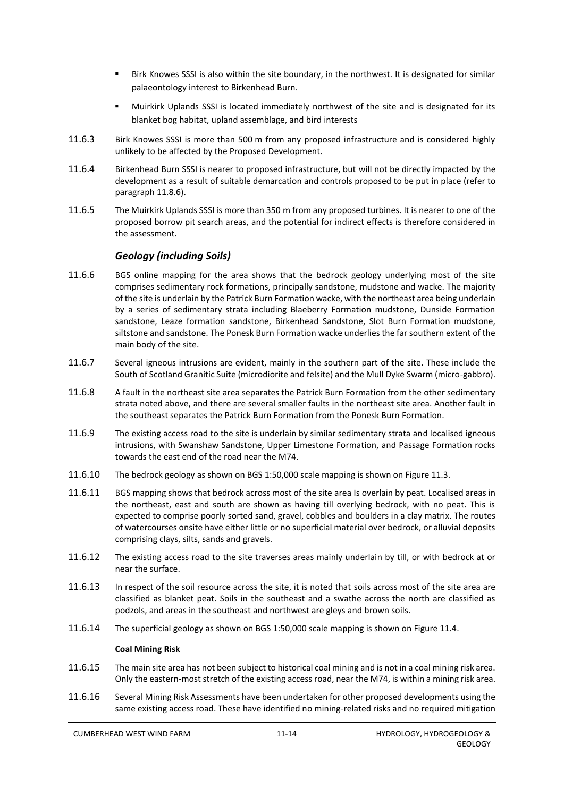- Birk Knowes SSSI is also within the site boundary, in the northwest. It is designated for similar palaeontology interest to Birkenhead Burn.
- Muirkirk Uplands SSSI is located immediately northwest of the site and is designated for its blanket bog habitat, upland assemblage, and bird interests
- 11.6.3 Birk Knowes SSSI is more than 500 m from any proposed infrastructure and is considered highly unlikely to be affected by the Proposed Development.
- 11.6.4 Birkenhead Burn SSSI is nearer to proposed infrastructure, but will not be directly impacted by the development as a result of suitable demarcation and controls proposed to be put in place (refer to paragraph 11.8.6).
- 11.6.5 The Muirkirk Uplands SSSI is more than 350 m from any proposed turbines. It is nearer to one of the proposed borrow pit search areas, and the potential for indirect effects is therefore considered in the assessment.

### *Geology (including Soils)*

- 11.6.6 BGS online mapping for the area shows that the bedrock geology underlying most of the site comprises sedimentary rock formations, principally sandstone, mudstone and wacke. The majority of the site is underlain by the Patrick Burn Formation wacke, with the northeast area being underlain by a series of sedimentary strata including Blaeberry Formation mudstone, Dunside Formation sandstone, Leaze formation sandstone, Birkenhead Sandstone, Slot Burn Formation mudstone, siltstone and sandstone. The Ponesk Burn Formation wacke underlies the far southern extent of the main body of the site.
- 11.6.7 Several igneous intrusions are evident, mainly in the southern part of the site. These include the South of Scotland Granitic Suite (microdiorite and felsite) and the Mull Dyke Swarm (micro-gabbro).
- 11.6.8 A fault in the northeast site area separates the Patrick Burn Formation from the other sedimentary strata noted above, and there are several smaller faults in the northeast site area. Another fault in the southeast separates the Patrick Burn Formation from the Ponesk Burn Formation.
- 11.6.9 The existing access road to the site is underlain by similar sedimentary strata and localised igneous intrusions, with Swanshaw Sandstone, Upper Limestone Formation, and Passage Formation rocks towards the east end of the road near the M74.
- 11.6.10 The bedrock geology as shown on BGS 1:50,000 scale mapping is shown on Figure 11.3.
- 11.6.11 BGS mapping shows that bedrock across most of the site area Is overlain by peat. Localised areas in the northeast, east and south are shown as having till overlying bedrock, with no peat. This is expected to comprise poorly sorted sand, gravel, cobbles and boulders in a clay matrix. The routes of watercourses onsite have either little or no superficial material over bedrock, or alluvial deposits comprising clays, silts, sands and gravels.
- 11.6.12 The existing access road to the site traverses areas mainly underlain by till, or with bedrock at or near the surface.
- 11.6.13 In respect of the soil resource across the site, it is noted that soils across most of the site area are classified as blanket peat. Soils in the southeast and a swathe across the north are classified as podzols, and areas in the southeast and northwest are gleys and brown soils.
- 11.6.14 The superficial geology as shown on BGS 1:50,000 scale mapping is shown on Figure 11.4.

#### **Coal Mining Risk**

- 11.6.15 The main site area has not been subject to historical coal mining and is not in a coal mining risk area. Only the eastern-most stretch of the existing access road, near the M74, is within a mining risk area.
- 11.6.16 Several Mining Risk Assessments have been undertaken for other proposed developments using the same existing access road. These have identified no mining-related risks and no required mitigation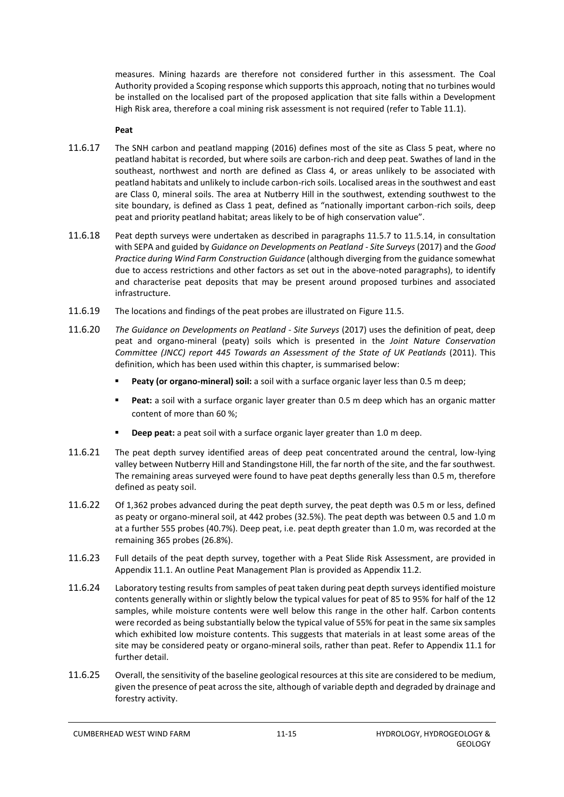measures. Mining hazards are therefore not considered further in this assessment. The Coal Authority provided a Scoping response which supports this approach, noting that no turbines would be installed on the localised part of the proposed application that site falls within a Development High Risk area, therefore a coal mining risk assessment is not required (refer to Table 11.1).

#### **Peat**

- 11.6.17 The SNH carbon and peatland mapping (2016) defines most of the site as Class 5 peat, where no peatland habitat is recorded, but where soils are carbon-rich and deep peat. Swathes of land in the southeast, northwest and north are defined as Class 4, or areas unlikely to be associated with peatland habitats and unlikely to include carbon-rich soils. Localised areas in the southwest and east are Class 0, mineral soils. The area at Nutberry Hill in the southwest, extending southwest to the site boundary, is defined as Class 1 peat, defined as "nationally important carbon-rich soils, deep peat and priority peatland habitat; areas likely to be of high conservation value".
- 11.6.18 Peat depth surveys were undertaken as described in paragraphs 11.5.7 to 11.5.14, in consultation with SEPA and guided by *Guidance on Developments on Peatland - Site Surveys* (2017) and the *Good Practice during Wind Farm Construction Guidance* (although diverging from the guidance somewhat due to access restrictions and other factors as set out in the above-noted paragraphs), to identify and characterise peat deposits that may be present around proposed turbines and associated infrastructure.
- 11.6.19 The locations and findings of the peat probes are illustrated on Figure 11.5.
- 11.6.20 *The Guidance on Developments on Peatland - Site Surveys* (2017) uses the definition of peat, deep peat and organo-mineral (peaty) soils which is presented in the *Joint Nature Conservation Committee (JNCC) report 445 Towards an Assessment of the State of UK Peatlands* (2011). This definition, which has been used within this chapter, is summarised below:
	- Peaty (or organo-mineral) soil: a soil with a surface organic layer less than 0.5 m deep;
	- **•** Peat: a soil with a surface organic layer greater than 0.5 m deep which has an organic matter content of more than 60 %;
	- **Deep peat:** a peat soil with a surface organic layer greater than 1.0 m deep.
- 11.6.21 The peat depth survey identified areas of deep peat concentrated around the central, low-lying valley between Nutberry Hill and Standingstone Hill, the far north of the site, and the far southwest. The remaining areas surveyed were found to have peat depths generally less than 0.5 m, therefore defined as peaty soil.
- 11.6.22 Of 1,362 probes advanced during the peat depth survey, the peat depth was 0.5 m or less, defined as peaty or organo-mineral soil, at 442 probes (32.5%). The peat depth was between 0.5 and 1.0 m at a further 555 probes (40.7%). Deep peat, i.e. peat depth greater than 1.0 m, was recorded at the remaining 365 probes (26.8%).
- 11.6.23 Full details of the peat depth survey, together with a Peat Slide Risk Assessment, are provided in Appendix 11.1. An outline Peat Management Plan is provided as Appendix 11.2.
- 11.6.24 Laboratory testing results from samples of peat taken during peat depth surveys identified moisture contents generally within or slightly below the typical values for peat of 85 to 95% for half of the 12 samples, while moisture contents were well below this range in the other half. Carbon contents were recorded as being substantially below the typical value of 55% for peat in the same six samples which exhibited low moisture contents. This suggests that materials in at least some areas of the site may be considered peaty or organo-mineral soils, rather than peat. Refer to Appendix 11.1 for further detail.
- 11.6.25 Overall, the sensitivity of the baseline geological resources at this site are considered to be medium, given the presence of peat across the site, although of variable depth and degraded by drainage and forestry activity.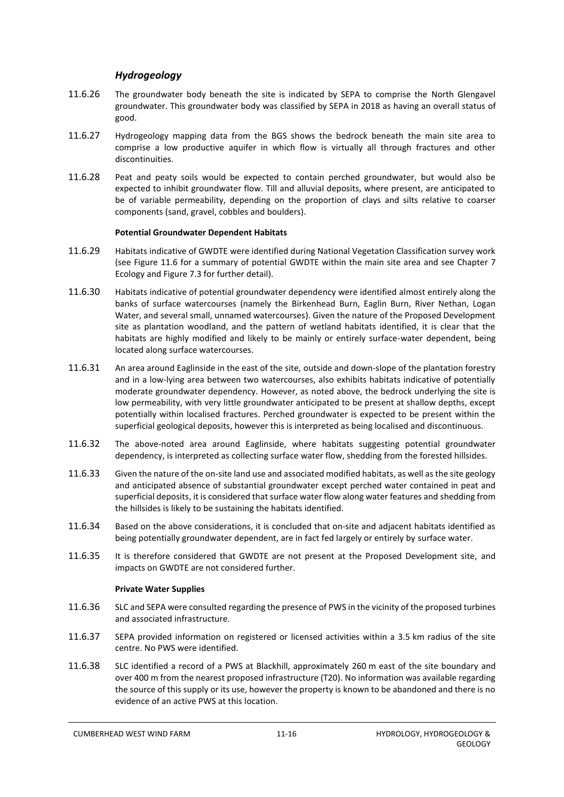# *Hydrogeology*

- 11.6.26 The groundwater body beneath the site is indicated by SEPA to comprise the North Glengavel groundwater. This groundwater body was classified by SEPA in 2018 as having an overall status of good.
- 11.6.27 Hydrogeology mapping data from the BGS shows the bedrock beneath the main site area to comprise a low productive aquifer in which flow is virtually all through fractures and other discontinuities.
- 11.6.28 Peat and peaty soils would be expected to contain perched groundwater, but would also be expected to inhibit groundwater flow. Till and alluvial deposits, where present, are anticipated to be of variable permeability, depending on the proportion of clays and silts relative to coarser components (sand, gravel, cobbles and boulders).

#### **Potential Groundwater Dependent Habitats**

- 11.6.29 Habitats indicative of GWDTE were identified during National Vegetation Classification survey work (see Figure 11.6 for a summary of potential GWDTE within the main site area and see Chapter 7 Ecology and Figure 7.3 for further detail).
- 11.6.30 Habitats indicative of potential groundwater dependency were identified almost entirely along the banks of surface watercourses (namely the Birkenhead Burn, Eaglin Burn, River Nethan, Logan Water, and several small, unnamed watercourses). Given the nature of the Proposed Development site as plantation woodland, and the pattern of wetland habitats identified, it is clear that the habitats are highly modified and likely to be mainly or entirely surface-water dependent, being located along surface watercourses.
- 11.6.31 An area around Eaglinside in the east of the site, outside and down-slope of the plantation forestry and in a low-lying area between two watercourses, also exhibits habitats indicative of potentially moderate groundwater dependency. However, as noted above, the bedrock underlying the site is low permeability, with very little groundwater anticipated to be present at shallow depths, except potentially within localised fractures. Perched groundwater is expected to be present within the superficial geological deposits, however this is interpreted as being localised and discontinuous.
- 11.6.32 The above-noted area around Eaglinside, where habitats suggesting potential groundwater dependency, is interpreted as collecting surface water flow, shedding from the forested hillsides.
- 11.6.33 Given the nature of the on-site land use and associated modified habitats, as well as the site geology and anticipated absence of substantial groundwater except perched water contained in peat and superficial deposits, it is considered that surface water flow along water features and shedding from the hillsides is likely to be sustaining the habitats identified.
- 11.6.34 Based on the above considerations, it is concluded that on-site and adjacent habitats identified as being potentially groundwater dependent, are in fact fed largely or entirely by surface water.
- 11.6.35 It is therefore considered that GWDTE are not present at the Proposed Development site, and impacts on GWDTE are not considered further.

#### **Private Water Supplies**

- 11.6.36 SLC and SEPA were consulted regarding the presence of PWS in the vicinity of the proposed turbines and associated infrastructure.
- 11.6.37 SEPA provided information on registered or licensed activities within a 3.5 km radius of the site centre. No PWS were identified.
- 11.6.38 SLC identified a record of a PWS at Blackhill, approximately 260 m east of the site boundary and over 400 m from the nearest proposed infrastructure (T20). No information was available regarding the source of this supply or its use, however the property is known to be abandoned and there is no evidence of an active PWS at this location.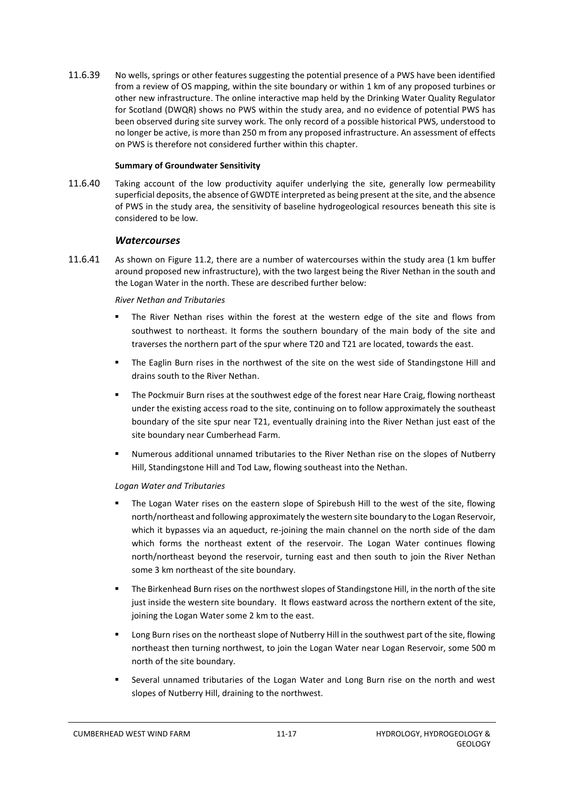11.6.39 No wells, springs or other features suggesting the potential presence of a PWS have been identified from a review of OS mapping, within the site boundary or within 1 km of any proposed turbines or other new infrastructure. The online interactive map held by the Drinking Water Quality Regulator for Scotland (DWQR) shows no PWS within the study area, and no evidence of potential PWS has been observed during site survey work. The only record of a possible historical PWS, understood to no longer be active, is more than 250 m from any proposed infrastructure. An assessment of effects on PWS is therefore not considered further within this chapter.

#### **Summary of Groundwater Sensitivity**

11.6.40 Taking account of the low productivity aquifer underlying the site, generally low permeability superficial deposits, the absence of GWDTE interpreted as being present at the site, and the absence of PWS in the study area, the sensitivity of baseline hydrogeological resources beneath this site is considered to be low.

#### *Watercourses*

11.6.41 As shown on Figure 11.2, there are a number of watercourses within the study area (1 km buffer around proposed new infrastructure), with the two largest being the River Nethan in the south and the Logan Water in the north. These are described further below:

#### *River Nethan and Tributaries*

- The River Nethan rises within the forest at the western edge of the site and flows from southwest to northeast. It forms the southern boundary of the main body of the site and traverses the northern part of the spur where T20 and T21 are located, towards the east.
- **•** The Eaglin Burn rises in the northwest of the site on the west side of Standingstone Hill and drains south to the River Nethan.
- **■** The Pockmuir Burn rises at the southwest edge of the forest near Hare Craig, flowing northeast under the existing access road to the site, continuing on to follow approximately the southeast boundary of the site spur near T21, eventually draining into the River Nethan just east of the site boundary near Cumberhead Farm.
- Numerous additional unnamed tributaries to the River Nethan rise on the slopes of Nutberry Hill, Standingstone Hill and Tod Law, flowing southeast into the Nethan.

#### *Logan Water and Tributaries*

- The Logan Water rises on the eastern slope of Spirebush Hill to the west of the site, flowing north/northeast and following approximately the western site boundary to the Logan Reservoir, which it bypasses via an aqueduct, re-joining the main channel on the north side of the dam which forms the northeast extent of the reservoir. The Logan Water continues flowing north/northeast beyond the reservoir, turning east and then south to join the River Nethan some 3 km northeast of the site boundary.
- The Birkenhead Burn rises on the northwest slopes of Standingstone Hill, in the north of the site just inside the western site boundary. It flows eastward across the northern extent of the site, joining the Logan Water some 2 km to the east.
- Long Burn rises on the northeast slope of Nutberry Hill in the southwest part of the site, flowing northeast then turning northwest, to join the Logan Water near Logan Reservoir, some 500 m north of the site boundary.
- Several unnamed tributaries of the Logan Water and Long Burn rise on the north and west slopes of Nutberry Hill, draining to the northwest.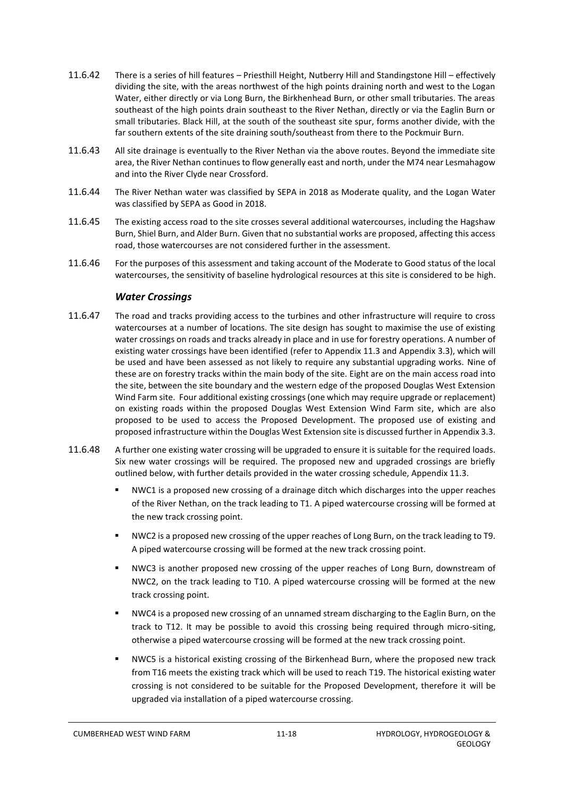- 11.6.42 There is a series of hill features Priesthill Height, Nutberry Hill and Standingstone Hill effectively dividing the site, with the areas northwest of the high points draining north and west to the Logan Water, either directly or via Long Burn, the Birkhenhead Burn, or other small tributaries. The areas southeast of the high points drain southeast to the River Nethan, directly or via the Eaglin Burn or small tributaries. Black Hill, at the south of the southeast site spur, forms another divide, with the far southern extents of the site draining south/southeast from there to the Pockmuir Burn.
- 11.6.43 All site drainage is eventually to the River Nethan via the above routes. Beyond the immediate site area, the River Nethan continues to flow generally east and north, under the M74 near Lesmahagow and into the River Clyde near Crossford.
- 11.6.44 The River Nethan water was classified by SEPA in 2018 as Moderate quality, and the Logan Water was classified by SEPA as Good in 2018.
- 11.6.45 The existing access road to the site crosses several additional watercourses, including the Hagshaw Burn, Shiel Burn, and Alder Burn. Given that no substantial works are proposed, affecting this access road, those watercourses are not considered further in the assessment.
- 11.6.46 For the purposes of this assessment and taking account of the Moderate to Good status of the local watercourses, the sensitivity of baseline hydrological resources at this site is considered to be high.

# *Water Crossings*

- 11.6.47 The road and tracks providing access to the turbines and other infrastructure will require to cross watercourses at a number of locations. The site design has sought to maximise the use of existing water crossings on roads and tracks already in place and in use for forestry operations. A number of existing water crossings have been identified (refer to Appendix 11.3 and Appendix 3.3), which will be used and have been assessed as not likely to require any substantial upgrading works. Nine of these are on forestry tracks within the main body of the site. Eight are on the main access road into the site, between the site boundary and the western edge of the proposed Douglas West Extension Wind Farm site. Four additional existing crossings (one which may require upgrade or replacement) on existing roads within the proposed Douglas West Extension Wind Farm site, which are also proposed to be used to access the Proposed Development. The proposed use of existing and proposed infrastructure within the Douglas West Extension site is discussed further in Appendix 3.3.
- 11.6.48 A further one existing water crossing will be upgraded to ensure it is suitable for the required loads. Six new water crossings will be required. The proposed new and upgraded crossings are briefly outlined below, with further details provided in the water crossing schedule, Appendix 11.3.
	- NWC1 is a proposed new crossing of a drainage ditch which discharges into the upper reaches of the River Nethan, on the track leading to T1. A piped watercourse crossing will be formed at the new track crossing point.
	- NWC2 is a proposed new crossing of the upper reaches of Long Burn, on the track leading to T9. A piped watercourse crossing will be formed at the new track crossing point.
	- NWC3 is another proposed new crossing of the upper reaches of Long Burn, downstream of NWC2, on the track leading to T10. A piped watercourse crossing will be formed at the new track crossing point.
	- NWC4 is a proposed new crossing of an unnamed stream discharging to the Eaglin Burn, on the track to T12. It may be possible to avoid this crossing being required through micro-siting, otherwise a piped watercourse crossing will be formed at the new track crossing point.
	- NWC5 is a historical existing crossing of the Birkenhead Burn, where the proposed new track from T16 meets the existing track which will be used to reach T19. The historical existing water crossing is not considered to be suitable for the Proposed Development, therefore it will be upgraded via installation of a piped watercourse crossing.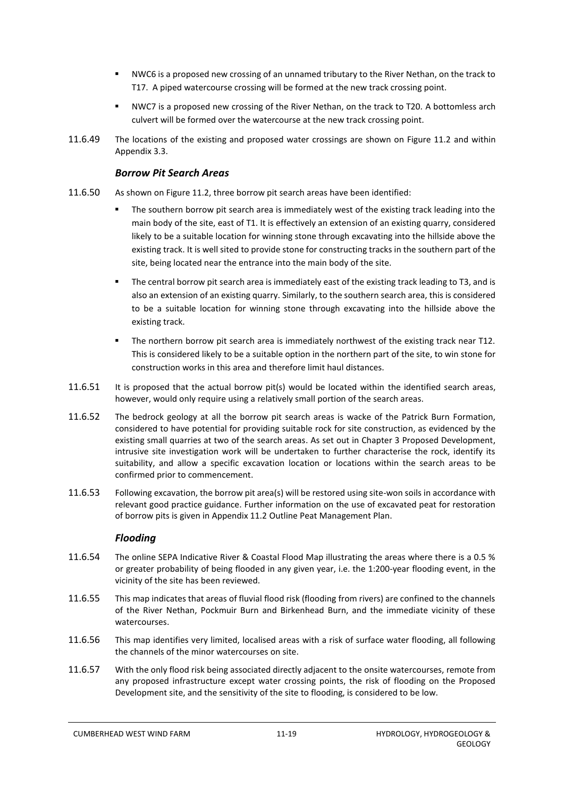- NWC6 is a proposed new crossing of an unnamed tributary to the River Nethan, on the track to T17. A piped watercourse crossing will be formed at the new track crossing point.
- NWC7 is a proposed new crossing of the River Nethan, on the track to T20. A bottomless arch culvert will be formed over the watercourse at the new track crossing point.
- 11.6.49 The locations of the existing and proposed water crossings are shown on Figure 11.2 and within Appendix 3.3.

### *Borrow Pit Search Areas*

- 11.6.50 As shown on Figure 11.2, three borrow pit search areas have been identified:
	- The southern borrow pit search area is immediately west of the existing track leading into the main body of the site, east of T1. It is effectively an extension of an existing quarry, considered likely to be a suitable location for winning stone through excavating into the hillside above the existing track. It is well sited to provide stone for constructing tracks in the southern part of the site, being located near the entrance into the main body of the site.
	- **•** The central borrow pit search area is immediately east of the existing track leading to T3, and is also an extension of an existing quarry. Similarly, to the southern search area, this is considered to be a suitable location for winning stone through excavating into the hillside above the existing track.
	- **•** The northern borrow pit search area is immediately northwest of the existing track near T12. This is considered likely to be a suitable option in the northern part of the site, to win stone for construction works in this area and therefore limit haul distances.
- 11.6.51 It is proposed that the actual borrow pit(s) would be located within the identified search areas, however, would only require using a relatively small portion of the search areas.
- 11.6.52 The bedrock geology at all the borrow pit search areas is wacke of the Patrick Burn Formation, considered to have potential for providing suitable rock for site construction, as evidenced by the existing small quarries at two of the search areas. As set out in Chapter 3 Proposed Development, intrusive site investigation work will be undertaken to further characterise the rock, identify its suitability, and allow a specific excavation location or locations within the search areas to be confirmed prior to commencement.
- 11.6.53 Following excavation, the borrow pit area(s) will be restored using site-won soils in accordance with relevant good practice guidance. Further information on the use of excavated peat for restoration of borrow pits is given in Appendix 11.2 Outline Peat Management Plan.

# *Flooding*

- 11.6.54 The online SEPA Indicative River & Coastal Flood Map illustrating the areas where there is a 0.5 % or greater probability of being flooded in any given year, i.e. the 1:200-year flooding event, in the vicinity of the site has been reviewed.
- 11.6.55 This map indicates that areas of fluvial flood risk (flooding from rivers) are confined to the channels of the River Nethan, Pockmuir Burn and Birkenhead Burn, and the immediate vicinity of these watercourses.
- 11.6.56 This map identifies very limited, localised areas with a risk of surface water flooding, all following the channels of the minor watercourses on site.
- 11.6.57 With the only flood risk being associated directly adjacent to the onsite watercourses, remote from any proposed infrastructure except water crossing points, the risk of flooding on the Proposed Development site, and the sensitivity of the site to flooding, is considered to be low.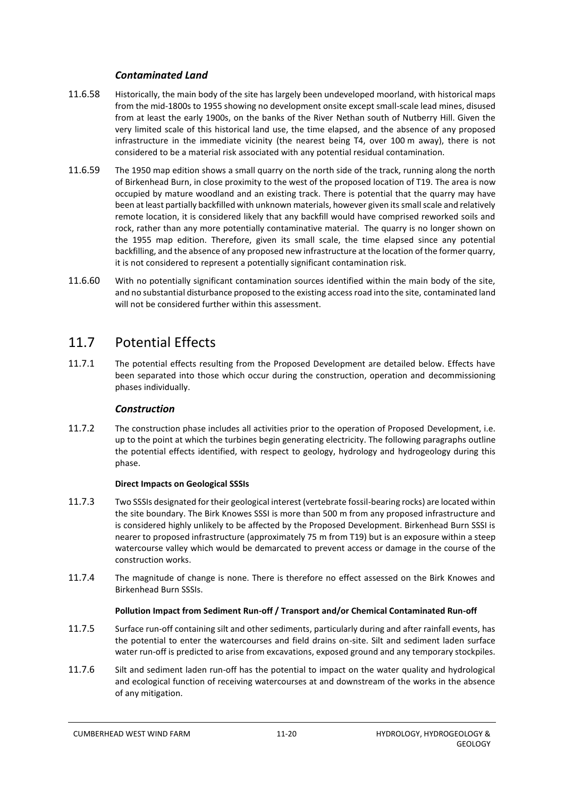# *Contaminated Land*

- 11.6.58 Historically, the main body of the site has largely been undeveloped moorland, with historical maps from the mid-1800s to 1955 showing no development onsite except small-scale lead mines, disused from at least the early 1900s, on the banks of the River Nethan south of Nutberry Hill. Given the very limited scale of this historical land use, the time elapsed, and the absence of any proposed infrastructure in the immediate vicinity (the nearest being T4, over 100 m away), there is not considered to be a material risk associated with any potential residual contamination.
- 11.6.59 The 1950 map edition shows a small quarry on the north side of the track, running along the north of Birkenhead Burn, in close proximity to the west of the proposed location of T19. The area is now occupied by mature woodland and an existing track. There is potential that the quarry may have been at least partially backfilled with unknown materials, however given its small scale and relatively remote location, it is considered likely that any backfill would have comprised reworked soils and rock, rather than any more potentially contaminative material. The quarry is no longer shown on the 1955 map edition. Therefore, given its small scale, the time elapsed since any potential backfilling, and the absence of any proposed new infrastructure at the location of the former quarry, it is not considered to represent a potentially significant contamination risk.
- 11.6.60 With no potentially significant contamination sources identified within the main body of the site, and no substantial disturbance proposed to the existing access road into the site, contaminated land will not be considered further within this assessment.

# <span id="page-21-0"></span>11.7 Potential Effects

11.7.1 The potential effects resulting from the Proposed Development are detailed below. Effects have been separated into those which occur during the construction, operation and decommissioning phases individually.

# *Construction*

11.7.2 The construction phase includes all activities prior to the operation of Proposed Development, i.e. up to the point at which the turbines begin generating electricity. The following paragraphs outline the potential effects identified, with respect to geology, hydrology and hydrogeology during this phase.

# **Direct Impacts on Geological SSSIs**

- 11.7.3 Two SSSIs designated for their geological interest (vertebrate fossil-bearing rocks) are located within the site boundary. The Birk Knowes SSSI is more than 500 m from any proposed infrastructure and is considered highly unlikely to be affected by the Proposed Development. Birkenhead Burn SSSI is nearer to proposed infrastructure (approximately 75 m from T19) but is an exposure within a steep watercourse valley which would be demarcated to prevent access or damage in the course of the construction works.
- 11.7.4 The magnitude of change is none. There is therefore no effect assessed on the Birk Knowes and Birkenhead Burn SSSIs.

# **Pollution Impact from Sediment Run-off / Transport and/or Chemical Contaminated Run-off**

- 11.7.5 Surface run-off containing silt and other sediments, particularly during and after rainfall events, has the potential to enter the watercourses and field drains on-site. Silt and sediment laden surface water run-off is predicted to arise from excavations, exposed ground and any temporary stockpiles.
- 11.7.6 Silt and sediment laden run-off has the potential to impact on the water quality and hydrological and ecological function of receiving watercourses at and downstream of the works in the absence of any mitigation.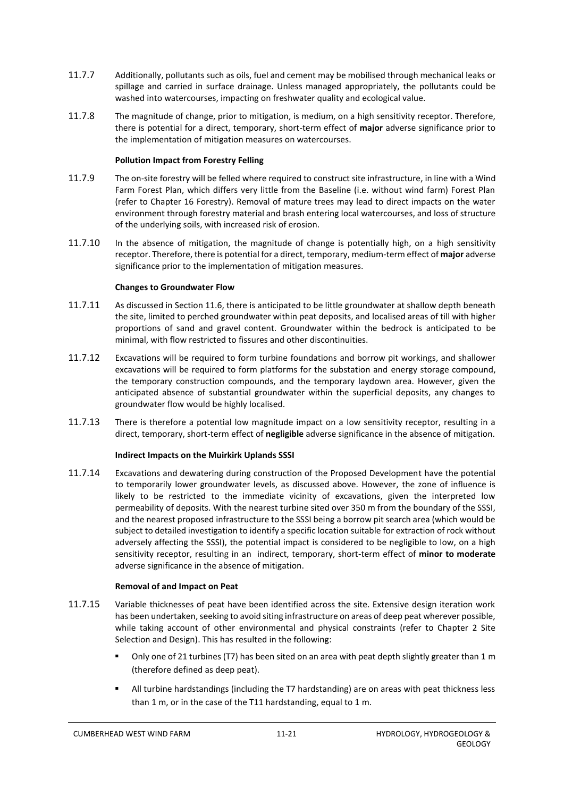- 11.7.7 Additionally, pollutants such as oils, fuel and cement may be mobilised through mechanical leaks or spillage and carried in surface drainage. Unless managed appropriately, the pollutants could be washed into watercourses, impacting on freshwater quality and ecological value.
- 11.7.8 The magnitude of change, prior to mitigation, is medium, on a high sensitivity receptor. Therefore, there is potential for a direct, temporary, short-term effect of **major** adverse significance prior to the implementation of mitigation measures on watercourses.

#### **Pollution Impact from Forestry Felling**

- 11.7.9 The on-site forestry will be felled where required to construct site infrastructure, in line with a Wind Farm Forest Plan, which differs very little from the Baseline (i.e. without wind farm) Forest Plan (refer to Chapter 16 Forestry). Removal of mature trees may lead to direct impacts on the water environment through forestry material and brash entering local watercourses, and loss of structure of the underlying soils, with increased risk of erosion.
- 11.7.10 In the absence of mitigation, the magnitude of change is potentially high, on a high sensitivity receptor. Therefore, there is potential for a direct, temporary, medium-term effect of **major** adverse significance prior to the implementation of mitigation measures.

#### **Changes to Groundwater Flow**

- 11.7.11 As discussed in Section 11.6, there is anticipated to be little groundwater at shallow depth beneath the site, limited to perched groundwater within peat deposits, and localised areas of till with higher proportions of sand and gravel content. Groundwater within the bedrock is anticipated to be minimal, with flow restricted to fissures and other discontinuities.
- 11.7.12 Excavations will be required to form turbine foundations and borrow pit workings, and shallower excavations will be required to form platforms for the substation and energy storage compound, the temporary construction compounds, and the temporary laydown area. However, given the anticipated absence of substantial groundwater within the superficial deposits, any changes to groundwater flow would be highly localised.
- 11.7.13 There is therefore a potential low magnitude impact on a low sensitivity receptor, resulting in a direct, temporary, short-term effect of **negligible** adverse significance in the absence of mitigation.

#### **Indirect Impacts on the Muirkirk Uplands SSSI**

11.7.14 Excavations and dewatering during construction of the Proposed Development have the potential to temporarily lower groundwater levels, as discussed above. However, the zone of influence is likely to be restricted to the immediate vicinity of excavations, given the interpreted low permeability of deposits. With the nearest turbine sited over 350 m from the boundary of the SSSI, and the nearest proposed infrastructure to the SSSI being a borrow pit search area (which would be subject to detailed investigation to identify a specific location suitable for extraction of rock without adversely affecting the SSSI), the potential impact is considered to be negligible to low, on a high sensitivity receptor, resulting in an indirect, temporary, short-term effect of **minor to moderate** adverse significance in the absence of mitigation.

#### **Removal of and Impact on Peat**

- 11.7.15 Variable thicknesses of peat have been identified across the site. Extensive design iteration work has been undertaken, seeking to avoid siting infrastructure on areas of deep peat wherever possible, while taking account of other environmental and physical constraints (refer to Chapter 2 Site Selection and Design). This has resulted in the following:
	- Only one of 21 turbines (T7) has been sited on an area with peat depth slightly greater than 1 m (therefore defined as deep peat).
	- All turbine hardstandings (including the T7 hardstanding) are on areas with peat thickness less than 1 m, or in the case of the T11 hardstanding, equal to 1 m.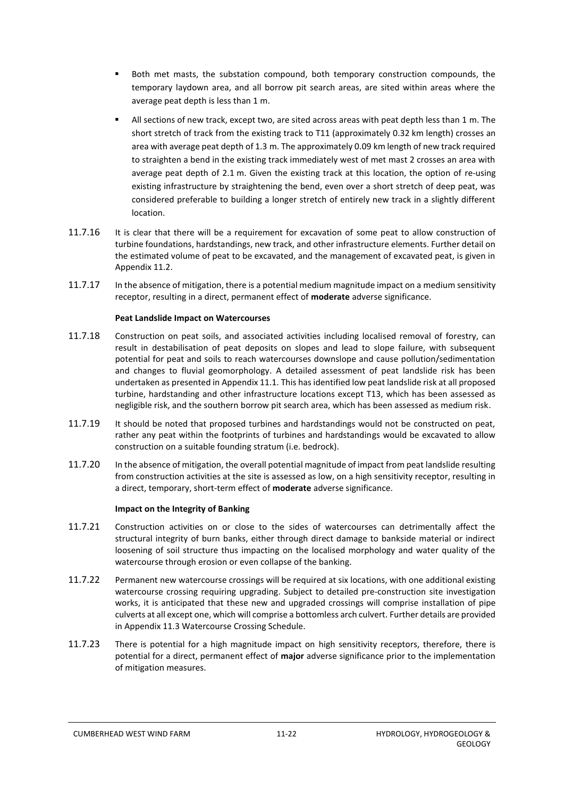- Both met masts, the substation compound, both temporary construction compounds, the temporary laydown area, and all borrow pit search areas, are sited within areas where the average peat depth is less than 1 m.
- **EXECT** All sections of new track, except two, are sited across areas with peat depth less than 1 m. The short stretch of track from the existing track to T11 (approximately 0.32 km length) crosses an area with average peat depth of 1.3 m. The approximately 0.09 km length of new track required to straighten a bend in the existing track immediately west of met mast 2 crosses an area with average peat depth of 2.1 m. Given the existing track at this location, the option of re-using existing infrastructure by straightening the bend, even over a short stretch of deep peat, was considered preferable to building a longer stretch of entirely new track in a slightly different location.
- 11.7.16 It is clear that there will be a requirement for excavation of some peat to allow construction of turbine foundations, hardstandings, new track, and other infrastructure elements. Further detail on the estimated volume of peat to be excavated, and the management of excavated peat, is given in Appendix 11.2.
- 11.7.17 In the absence of mitigation, there is a potential medium magnitude impact on a medium sensitivity receptor, resulting in a direct, permanent effect of **moderate** adverse significance.

#### **Peat Landslide Impact on Watercourses**

- 11.7.18 Construction on peat soils, and associated activities including localised removal of forestry, can result in destabilisation of peat deposits on slopes and lead to slope failure, with subsequent potential for peat and soils to reach watercourses downslope and cause pollution/sedimentation and changes to fluvial geomorphology. A detailed assessment of peat landslide risk has been undertaken as presented in Appendix 11.1. This has identified low peat landslide risk at all proposed turbine, hardstanding and other infrastructure locations except T13, which has been assessed as negligible risk, and the southern borrow pit search area, which has been assessed as medium risk.
- 11.7.19 It should be noted that proposed turbines and hardstandings would not be constructed on peat, rather any peat within the footprints of turbines and hardstandings would be excavated to allow construction on a suitable founding stratum (i.e. bedrock).
- 11.7.20 In the absence of mitigation, the overall potential magnitude of impact from peat landslide resulting from construction activities at the site is assessed as low, on a high sensitivity receptor, resulting in a direct, temporary, short-term effect of **moderate** adverse significance.

#### **Impact on the Integrity of Banking**

- 11.7.21 Construction activities on or close to the sides of watercourses can detrimentally affect the structural integrity of burn banks, either through direct damage to bankside material or indirect loosening of soil structure thus impacting on the localised morphology and water quality of the watercourse through erosion or even collapse of the banking.
- 11.7.22 Permanent new watercourse crossings will be required at six locations, with one additional existing watercourse crossing requiring upgrading. Subject to detailed pre-construction site investigation works, it is anticipated that these new and upgraded crossings will comprise installation of pipe culverts at all except one, which will comprise a bottomless arch culvert. Further details are provided in Appendix 11.3 Watercourse Crossing Schedule.
- 11.7.23 There is potential for a high magnitude impact on high sensitivity receptors, therefore, there is potential for a direct, permanent effect of **major** adverse significance prior to the implementation of mitigation measures.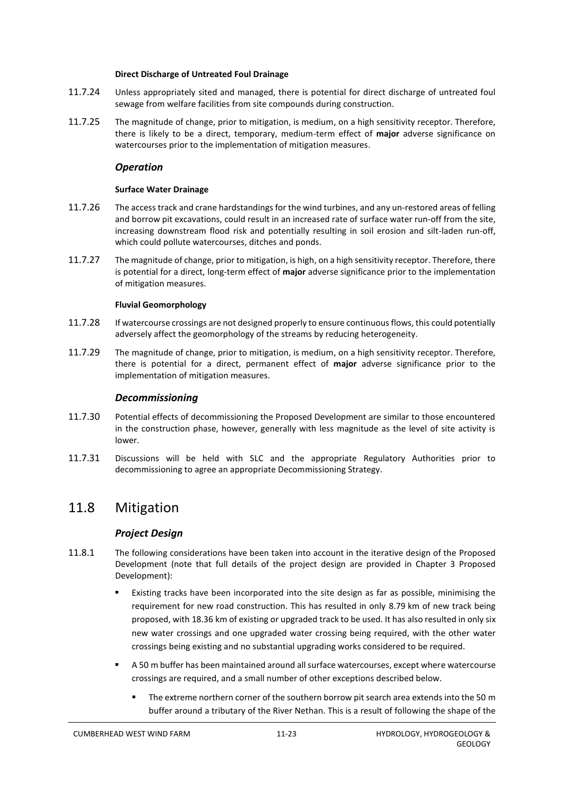#### **Direct Discharge of Untreated Foul Drainage**

- 11.7.24 Unless appropriately sited and managed, there is potential for direct discharge of untreated foul sewage from welfare facilities from site compounds during construction.
- 11.7.25 The magnitude of change, prior to mitigation, is medium, on a high sensitivity receptor. Therefore, there is likely to be a direct, temporary, medium-term effect of **major** adverse significance on watercourses prior to the implementation of mitigation measures.

### *Operation*

#### **Surface Water Drainage**

- 11.7.26 The access track and crane hardstandings for the wind turbines, and any un-restored areas of felling and borrow pit excavations, could result in an increased rate of surface water run-off from the site, increasing downstream flood risk and potentially resulting in soil erosion and silt-laden run-off, which could pollute watercourses, ditches and ponds.
- 11.7.27 The magnitude of change, prior to mitigation, is high, on a high sensitivity receptor. Therefore, there is potential for a direct, long-term effect of **major** adverse significance prior to the implementation of mitigation measures.

#### **Fluvial Geomorphology**

- 11.7.28 If watercourse crossings are not designed properly to ensure continuous flows, this could potentially adversely affect the geomorphology of the streams by reducing heterogeneity.
- 11.7.29 The magnitude of change, prior to mitigation, is medium, on a high sensitivity receptor. Therefore, there is potential for a direct, permanent effect of **major** adverse significance prior to the implementation of mitigation measures.

### *Decommissioning*

- 11.7.30 Potential effects of decommissioning the Proposed Development are similar to those encountered in the construction phase, however, generally with less magnitude as the level of site activity is lower.
- 11.7.31 Discussions will be held with SLC and the appropriate Regulatory Authorities prior to decommissioning to agree an appropriate Decommissioning Strategy.

# <span id="page-24-0"></span>11.8 Mitigation

# *Project Design*

- 11.8.1 The following considerations have been taken into account in the iterative design of the Proposed Development (note that full details of the project design are provided in Chapter 3 Proposed Development):
	- Existing tracks have been incorporated into the site design as far as possible, minimising the requirement for new road construction. This has resulted in only 8.79 km of new track being proposed, with 18.36 km of existing or upgraded track to be used. It has also resulted in only six new water crossings and one upgraded water crossing being required, with the other water crossings being existing and no substantial upgrading works considered to be required.
	- A 50 m buffer has been maintained around all surface watercourses, except where watercourse crossings are required, and a small number of other exceptions described below.
		- The extreme northern corner of the southern borrow pit search area extends into the 50 m buffer around a tributary of the River Nethan. This is a result of following the shape of the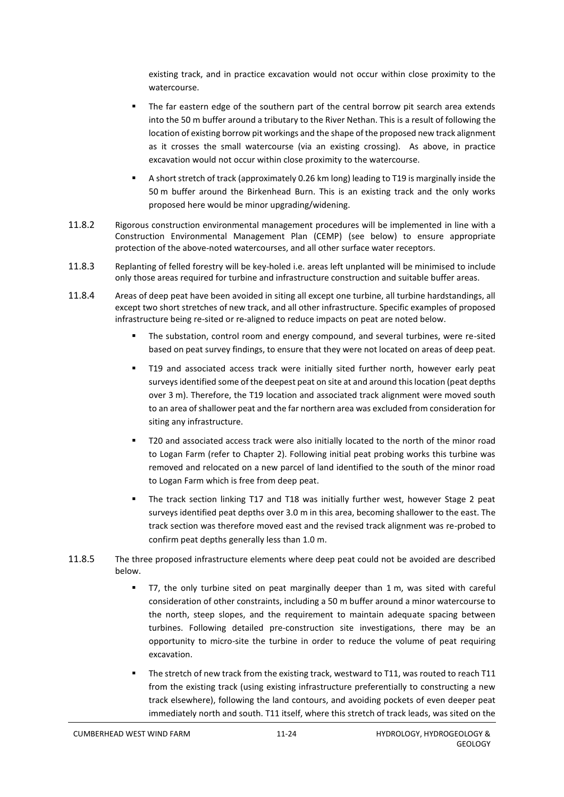existing track, and in practice excavation would not occur within close proximity to the watercourse.

- **•** The far eastern edge of the southern part of the central borrow pit search area extends into the 50 m buffer around a tributary to the River Nethan. This is a result of following the location of existing borrow pit workings and the shape of the proposed new track alignment as it crosses the small watercourse (via an existing crossing). As above, in practice excavation would not occur within close proximity to the watercourse.
- A short stretch of track (approximately 0.26 km long) leading to T19 is marginally inside the 50 m buffer around the Birkenhead Burn. This is an existing track and the only works proposed here would be minor upgrading/widening.
- 11.8.2 Rigorous construction environmental management procedures will be implemented in line with a Construction Environmental Management Plan (CEMP) (see below) to ensure appropriate protection of the above-noted watercourses, and all other surface water receptors.
- 11.8.3 Replanting of felled forestry will be key-holed i.e. areas left unplanted will be minimised to include only those areas required for turbine and infrastructure construction and suitable buffer areas.
- 11.8.4 Areas of deep peat have been avoided in siting all except one turbine, all turbine hardstandings, all except two short stretches of new track, and all other infrastructure. Specific examples of proposed infrastructure being re-sited or re-aligned to reduce impacts on peat are noted below.
	- **■** The substation, control room and energy compound, and several turbines, were re-sited based on peat survey findings, to ensure that they were not located on areas of deep peat.
	- T19 and associated access track were initially sited further north, however early peat surveys identified some of the deepest peat on site at and around this location (peat depths over 3 m). Therefore, the T19 location and associated track alignment were moved south to an area of shallower peat and the far northern area was excluded from consideration for siting any infrastructure.
	- T20 and associated access track were also initially located to the north of the minor road to Logan Farm (refer to Chapter 2). Following initial peat probing works this turbine was removed and relocated on a new parcel of land identified to the south of the minor road to Logan Farm which is free from deep peat.
	- The track section linking T17 and T18 was initially further west, however Stage 2 peat surveys identified peat depths over 3.0 m in this area, becoming shallower to the east. The track section was therefore moved east and the revised track alignment was re-probed to confirm peat depths generally less than 1.0 m.
- 11.8.5 The three proposed infrastructure elements where deep peat could not be avoided are described below.
	- T7, the only turbine sited on peat marginally deeper than 1 m, was sited with careful consideration of other constraints, including a 50 m buffer around a minor watercourse to the north, steep slopes, and the requirement to maintain adequate spacing between turbines. Following detailed pre-construction site investigations, there may be an opportunity to micro-site the turbine in order to reduce the volume of peat requiring excavation.
	- The stretch of new track from the existing track, westward to T11, was routed to reach T11 from the existing track (using existing infrastructure preferentially to constructing a new track elsewhere), following the land contours, and avoiding pockets of even deeper peat immediately north and south. T11 itself, where this stretch of track leads, was sited on the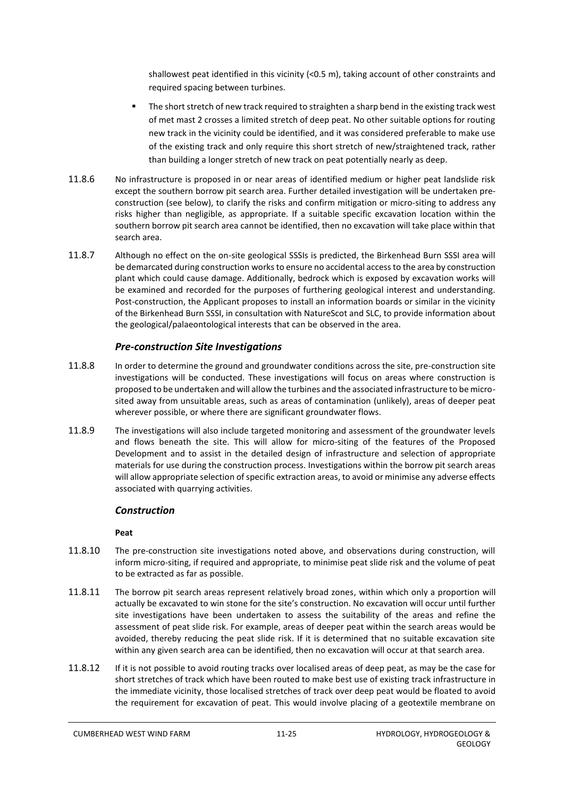shallowest peat identified in this vicinity (<0.5 m), taking account of other constraints and required spacing between turbines.

- The short stretch of new track required to straighten a sharp bend in the existing track west of met mast 2 crosses a limited stretch of deep peat. No other suitable options for routing new track in the vicinity could be identified, and it was considered preferable to make use of the existing track and only require this short stretch of new/straightened track, rather than building a longer stretch of new track on peat potentially nearly as deep.
- 11.8.6 No infrastructure is proposed in or near areas of identified medium or higher peat landslide risk except the southern borrow pit search area. Further detailed investigation will be undertaken preconstruction (see below), to clarify the risks and confirm mitigation or micro-siting to address any risks higher than negligible, as appropriate. If a suitable specific excavation location within the southern borrow pit search area cannot be identified, then no excavation will take place within that search area.
- 11.8.7 Although no effect on the on-site geological SSSIs is predicted, the Birkenhead Burn SSSI area will be demarcated during construction works to ensure no accidental access to the area by construction plant which could cause damage. Additionally, bedrock which is exposed by excavation works will be examined and recorded for the purposes of furthering geological interest and understanding. Post-construction, the Applicant proposes to install an information boards or similar in the vicinity of the Birkenhead Burn SSSI, in consultation with NatureScot and SLC, to provide information about the geological/palaeontological interests that can be observed in the area.

# *Pre-construction Site Investigations*

- 11.8.8 In order to determine the ground and groundwater conditions across the site, pre-construction site investigations will be conducted. These investigations will focus on areas where construction is proposed to be undertaken and will allow the turbines and the associated infrastructure to be microsited away from unsuitable areas, such as areas of contamination (unlikely), areas of deeper peat wherever possible, or where there are significant groundwater flows.
- 11.8.9 The investigations will also include targeted monitoring and assessment of the groundwater levels and flows beneath the site. This will allow for micro-siting of the features of the Proposed Development and to assist in the detailed design of infrastructure and selection of appropriate materials for use during the construction process. Investigations within the borrow pit search areas will allow appropriate selection of specific extraction areas, to avoid or minimise any adverse effects associated with quarrying activities.

# *Construction*

**Peat**

- 11.8.10 The pre-construction site investigations noted above, and observations during construction, will inform micro-siting, if required and appropriate, to minimise peat slide risk and the volume of peat to be extracted as far as possible.
- 11.8.11 The borrow pit search areas represent relatively broad zones, within which only a proportion will actually be excavated to win stone for the site's construction. No excavation will occur until further site investigations have been undertaken to assess the suitability of the areas and refine the assessment of peat slide risk. For example, areas of deeper peat within the search areas would be avoided, thereby reducing the peat slide risk. If it is determined that no suitable excavation site within any given search area can be identified, then no excavation will occur at that search area.
- 11.8.12 If it is not possible to avoid routing tracks over localised areas of deep peat, as may be the case for short stretches of track which have been routed to make best use of existing track infrastructure in the immediate vicinity, those localised stretches of track over deep peat would be floated to avoid the requirement for excavation of peat. This would involve placing of a geotextile membrane on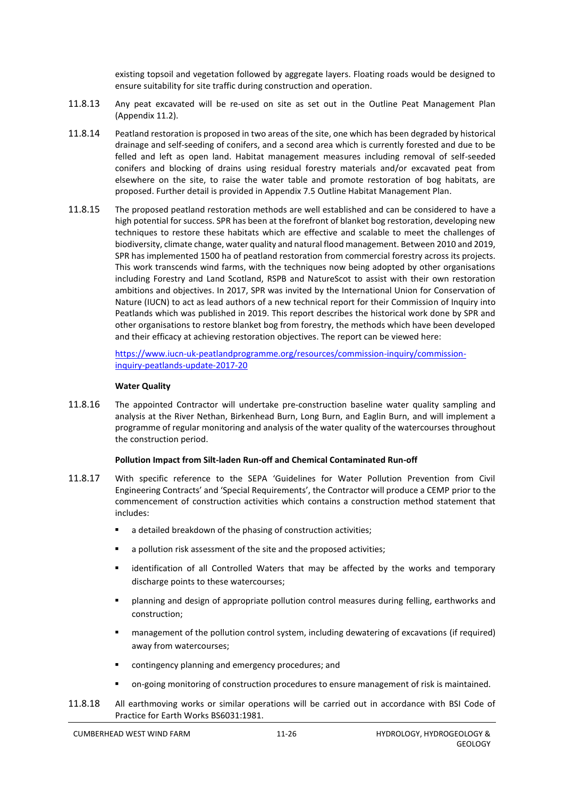existing topsoil and vegetation followed by aggregate layers. Floating roads would be designed to ensure suitability for site traffic during construction and operation.

- 11.8.13 Any peat excavated will be re-used on site as set out in the Outline Peat Management Plan (Appendix 11.2).
- 11.8.14 Peatland restoration is proposed in two areas of the site, one which has been degraded by historical drainage and self-seeding of conifers, and a second area which is currently forested and due to be felled and left as open land. Habitat management measures including removal of self-seeded conifers and blocking of drains using residual forestry materials and/or excavated peat from elsewhere on the site, to raise the water table and promote restoration of bog habitats, are proposed. Further detail is provided in Appendix 7.5 Outline Habitat Management Plan.
- 11.8.15 The proposed peatland restoration methods are well established and can be considered to have a high potential for success. SPR has been at the forefront of blanket bog restoration, developing new techniques to restore these habitats which are effective and scalable to meet the challenges of biodiversity, climate change, water quality and natural flood management. Between 2010 and 2019, SPR has implemented 1500 ha of peatland restoration from commercial forestry across its projects. This work transcends wind farms, with the techniques now being adopted by other organisations including Forestry and Land Scotland, RSPB and NatureScot to assist with their own restoration ambitions and objectives. In 2017, SPR was invited by the International Union for Conservation of Nature (IUCN) to act as lead authors of a new technical report for their Commission of Inquiry into Peatlands which was published in 2019. This report describes the historical work done by SPR and other organisations to restore blanket bog from forestry, the methods which have been developed and their efficacy at achieving restoration objectives. The report can be viewed here:

[https://www.iucn-uk-peatlandprogramme.org/resources/commission-inquiry/commission](https://www.iucn-uk-peatlandprogramme.org/resources/commission-inquiry/commission-inquiry-peatlands-update-2017-20)[inquiry-peatlands-update-2017-20](https://www.iucn-uk-peatlandprogramme.org/resources/commission-inquiry/commission-inquiry-peatlands-update-2017-20)

#### **Water Quality**

11.8.16 The appointed Contractor will undertake pre-construction baseline water quality sampling and analysis at the River Nethan, Birkenhead Burn, Long Burn, and Eaglin Burn, and will implement a programme of regular monitoring and analysis of the water quality of the watercourses throughout the construction period.

#### **Pollution Impact from Silt-laden Run-off and Chemical Contaminated Run-off**

- 11.8.17 With specific reference to the SEPA 'Guidelines for Water Pollution Prevention from Civil Engineering Contracts' and 'Special Requirements', the Contractor will produce a CEMP prior to the commencement of construction activities which contains a construction method statement that includes:
	- a detailed breakdown of the phasing of construction activities;
	- a pollution risk assessment of the site and the proposed activities;
	- identification of all Controlled Waters that may be affected by the works and temporary discharge points to these watercourses;
	- planning and design of appropriate pollution control measures during felling, earthworks and construction;
	- management of the pollution control system, including dewatering of excavations (if required) away from watercourses;
	- contingency planning and emergency procedures; and
	- on-going monitoring of construction procedures to ensure management of risk is maintained.
- 11.8.18 All earthmoving works or similar operations will be carried out in accordance with BSI Code of Practice for Earth Works BS6031:1981.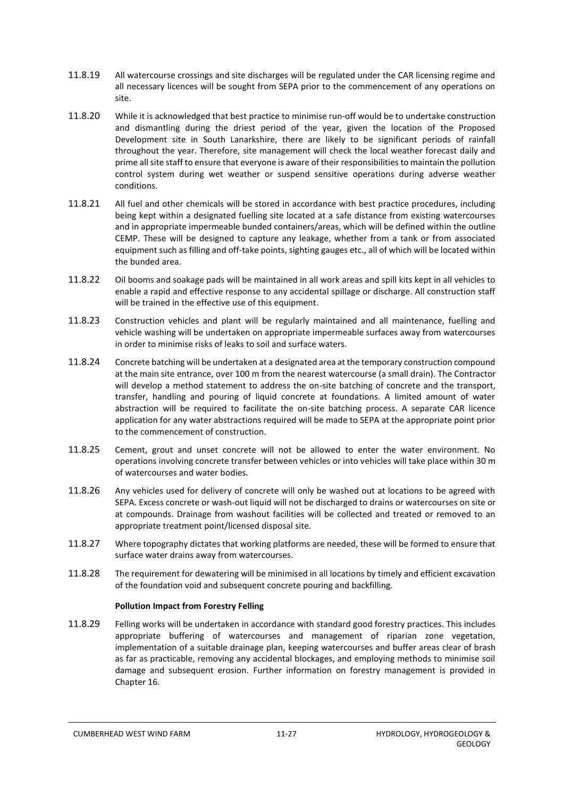- 11.8.19 All watercourse crossings and site discharges will be regulated under the CAR licensing regime and all necessary licences will be sought from SEPA prior to the commencement of any operations on site.
- 11.8.20 While it is acknowledged that best practice to minimise run-off would be to undertake construction and dismantling during the driest period of the year, given the location of the Proposed Development site in South Lanarkshire, there are likely to be significant periods of rainfall throughout the year. Therefore, site management will check the local weather forecast daily and prime all site staff to ensure that everyone is aware of their responsibilities to maintain the pollution control system during wet weather or suspend sensitive operations during adverse weather conditions.
- 11.8.21 All fuel and other chemicals will be stored in accordance with best practice procedures, including being kept within a designated fuelling site located at a safe distance from existing watercourses and in appropriate impermeable bunded containers/areas, which will be defined within the outline CEMP. These will be designed to capture any leakage, whether from a tank or from associated equipment such as filling and off-take points, sighting gauges etc., all of which will be located within the bunded area.
- 11.8.22 Oil booms and soakage pads will be maintained in all work areas and spill kits kept in all vehicles to enable a rapid and effective response to any accidental spillage or discharge. All construction staff will be trained in the effective use of this equipment.
- 11.8.23 Construction vehicles and plant will be regularly maintained and all maintenance, fuelling and vehicle washing will be undertaken on appropriate impermeable surfaces away from watercourses in order to minimise risks of leaks to soil and surface waters.
- 11.8.24 Concrete batching will be undertaken at a designated area at the temporary construction compound at the main site entrance, over 100 m from the nearest watercourse (a small drain). The Contractor will develop a method statement to address the on-site batching of concrete and the transport, transfer, handling and pouring of liquid concrete at foundations. A limited amount of water abstraction will be required to facilitate the on-site batching process. A separate CAR licence application for any water abstractions required will be made to SEPA at the appropriate point prior to the commencement of construction.
- 11.8.25 Cement, grout and unset concrete will not be allowed to enter the water environment. No operations involving concrete transfer between vehicles or into vehicles will take place within 30 m of watercourses and water bodies.
- 11.8.26 Any vehicles used for delivery of concrete will only be washed out at locations to be agreed with SEPA. Excess concrete or wash-out liquid will not be discharged to drains or watercourses on site or at compounds. Drainage from washout facilities will be collected and treated or removed to an appropriate treatment point/licensed disposal site.
- 11.8.27 Where topography dictates that working platforms are needed, these will be formed to ensure that surface water drains away from watercourses.
- 11.8.28 The requirement for dewatering will be minimised in all locations by timely and efficient excavation of the foundation void and subsequent concrete pouring and backfilling.

#### **Pollution Impact from Forestry Felling**

11.8.29 Felling works will be undertaken in accordance with standard good forestry practices. This includes appropriate buffering of watercourses and management of riparian zone vegetation, implementation of a suitable drainage plan, keeping watercourses and buffer areas clear of brash as far as practicable, removing any accidental blockages, and employing methods to minimise soil damage and subsequent erosion. Further information on forestry management is provided in Chapter 16.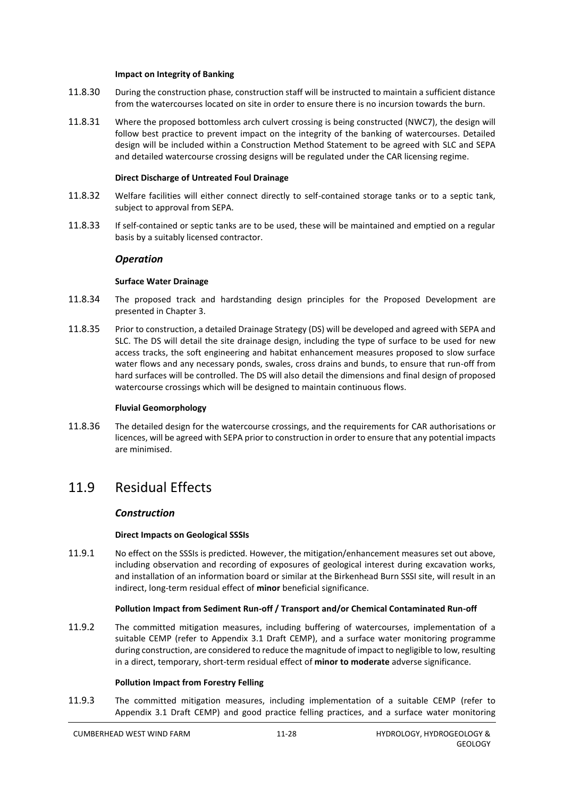#### **Impact on Integrity of Banking**

- 11.8.30 During the construction phase, construction staff will be instructed to maintain a sufficient distance from the watercourses located on site in order to ensure there is no incursion towards the burn.
- 11.8.31 Where the proposed bottomless arch culvert crossing is being constructed (NWC7), the design will follow best practice to prevent impact on the integrity of the banking of watercourses. Detailed design will be included within a Construction Method Statement to be agreed with SLC and SEPA and detailed watercourse crossing designs will be regulated under the CAR licensing regime.

#### **Direct Discharge of Untreated Foul Drainage**

- 11.8.32 Welfare facilities will either connect directly to self-contained storage tanks or to a septic tank, subject to approval from SEPA.
- 11.8.33 If self-contained or septic tanks are to be used, these will be maintained and emptied on a regular basis by a suitably licensed contractor.

# *Operation*

### **Surface Water Drainage**

- 11.8.34 The proposed track and hardstanding design principles for the Proposed Development are presented in Chapter 3.
- 11.8.35 Prior to construction, a detailed Drainage Strategy (DS) will be developed and agreed with SEPA and SLC. The DS will detail the site drainage design, including the type of surface to be used for new access tracks, the soft engineering and habitat enhancement measures proposed to slow surface water flows and any necessary ponds, swales, cross drains and bunds, to ensure that run-off from hard surfaces will be controlled. The DS will also detail the dimensions and final design of proposed watercourse crossings which will be designed to maintain continuous flows.

#### **Fluvial Geomorphology**

11.8.36 The detailed design for the watercourse crossings, and the requirements for CAR authorisations or licences, will be agreed with SEPA prior to construction in order to ensure that any potential impacts are minimised.

# <span id="page-29-0"></span>11.9 Residual Effects

# *Construction*

#### **Direct Impacts on Geological SSSIs**

11.9.1 No effect on the SSSIs is predicted. However, the mitigation/enhancement measures set out above, including observation and recording of exposures of geological interest during excavation works, and installation of an information board or similar at the Birkenhead Burn SSSI site, will result in an indirect, long-term residual effect of **minor** beneficial significance.

# **Pollution Impact from Sediment Run-off / Transport and/or Chemical Contaminated Run-off**

11.9.2 The committed mitigation measures, including buffering of watercourses, implementation of a suitable CEMP (refer to Appendix 3.1 Draft CEMP), and a surface water monitoring programme during construction, are considered to reduce the magnitude of impact to negligible to low, resulting in a direct, temporary, short-term residual effect of **minor to moderate** adverse significance.

#### **Pollution Impact from Forestry Felling**

11.9.3 The committed mitigation measures, including implementation of a suitable CEMP (refer to Appendix 3.1 Draft CEMP) and good practice felling practices, and a surface water monitoring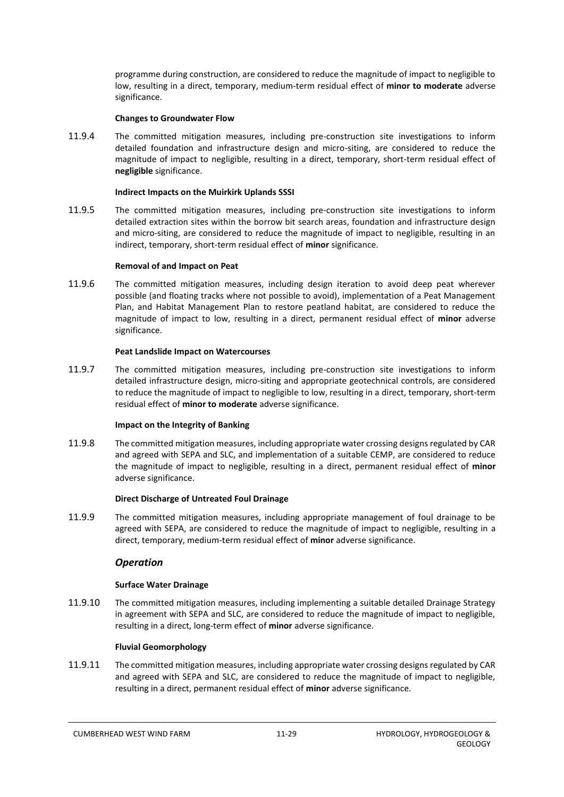programme during construction, are considered to reduce the magnitude of impact to negligible to low, resulting in a direct, temporary, medium-term residual effect of **minor to moderate** adverse significance.

#### **Changes to Groundwater Flow**

11.9.4 The committed mitigation measures, including pre-construction site investigations to inform detailed foundation and infrastructure design and micro-siting, are considered to reduce the magnitude of impact to negligible, resulting in a direct, temporary, short-term residual effect of **negligible** significance.

#### **Indirect Impacts on the Muirkirk Uplands SSSI**

11.9.5 The committed mitigation measures, including pre-construction site investigations to inform detailed extraction sites within the borrow bit search areas, foundation and infrastructure design and micro-siting, are considered to reduce the magnitude of impact to negligible, resulting in an indirect, temporary, short-term residual effect of **minor** significance.

#### **Removal of and Impact on Peat**

11.9.6 The committed mitigation measures, including design iteration to avoid deep peat wherever possible (and floating tracks where not possible to avoid), implementation of a Peat Management Plan, and Habitat Management Plan to restore peatland habitat, are considered to reduce the magnitude of impact to low, resulting in a direct, permanent residual effect of **minor** adverse significance.

#### **Peat Landslide Impact on Watercourses**

11.9.7 The committed mitigation measures, including pre-construction site investigations to inform detailed infrastructure design, micro-siting and appropriate geotechnical controls, are considered to reduce the magnitude of impact to negligible to low, resulting in a direct, temporary, short-term residual effect of **minor to moderate** adverse significance.

#### **Impact on the Integrity of Banking**

11.9.8 The committed mitigation measures, including appropriate water crossing designs regulated by CAR and agreed with SEPA and SLC, and implementation of a suitable CEMP, are considered to reduce the magnitude of impact to negligible, resulting in a direct, permanent residual effect of **minor** adverse significance.

#### **Direct Discharge of Untreated Foul Drainage**

11.9.9 The committed mitigation measures, including appropriate management of foul drainage to be agreed with SEPA, are considered to reduce the magnitude of impact to negligible, resulting in a direct, temporary, medium-term residual effect of **minor** adverse significance.

# *Operation*

#### **Surface Water Drainage**

11.9.10 The committed mitigation measures, including implementing a suitable detailed Drainage Strategy in agreement with SEPA and SLC, are considered to reduce the magnitude of impact to negligible, resulting in a direct, long-term effect of **minor** adverse significance.

#### **Fluvial Geomorphology**

11.9.11 The committed mitigation measures, including appropriate water crossing designs regulated by CAR and agreed with SEPA and SLC, are considered to reduce the magnitude of impact to negligible, resulting in a direct, permanent residual effect of **minor** adverse significance.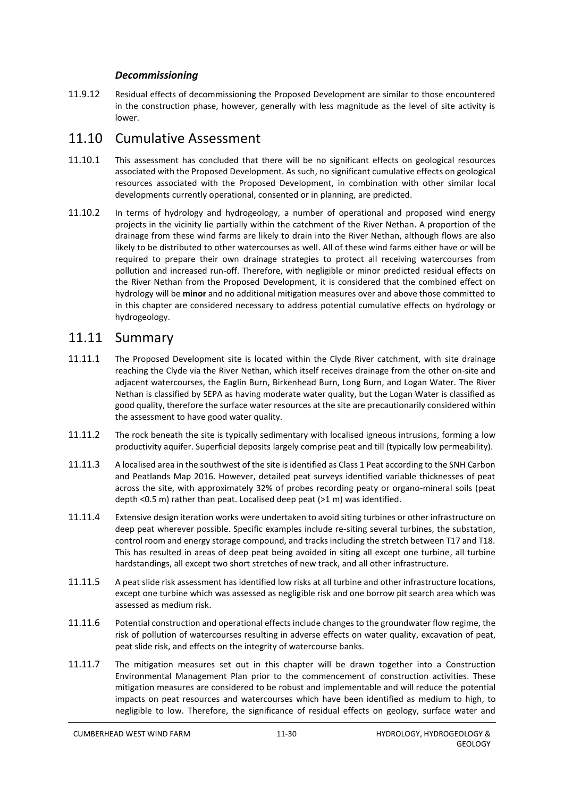# *Decommissioning*

11.9.12 Residual effects of decommissioning the Proposed Development are similar to those encountered in the construction phase, however, generally with less magnitude as the level of site activity is lower.

# <span id="page-31-0"></span>11.10 Cumulative Assessment

- 11.10.1 This assessment has concluded that there will be no significant effects on geological resources associated with the Proposed Development. As such, no significant cumulative effects on geological resources associated with the Proposed Development, in combination with other similar local developments currently operational, consented or in planning, are predicted.
- 11.10.2 In terms of hydrology and hydrogeology, a number of operational and proposed wind energy projects in the vicinity lie partially within the catchment of the River Nethan. A proportion of the drainage from these wind farms are likely to drain into the River Nethan, although flows are also likely to be distributed to other watercourses as well. All of these wind farms either have or will be required to prepare their own drainage strategies to protect all receiving watercourses from pollution and increased run-off. Therefore, with negligible or minor predicted residual effects on the River Nethan from the Proposed Development, it is considered that the combined effect on hydrology will be **minor** and no additional mitigation measures over and above those committed to in this chapter are considered necessary to address potential cumulative effects on hydrology or hydrogeology.

# <span id="page-31-1"></span>11.11 Summary

- 11.11.1 The Proposed Development site is located within the Clyde River catchment, with site drainage reaching the Clyde via the River Nethan, which itself receives drainage from the other on-site and adjacent watercourses, the Eaglin Burn, Birkenhead Burn, Long Burn, and Logan Water. The River Nethan is classified by SEPA as having moderate water quality, but the Logan Water is classified as good quality, therefore the surface water resources at the site are precautionarily considered within the assessment to have good water quality.
- 11.11.2 The rock beneath the site is typically sedimentary with localised igneous intrusions, forming a low productivity aquifer. Superficial deposits largely comprise peat and till (typically low permeability).
- 11.11.3 A localised area in the southwest of the site is identified as Class 1 Peat according to the SNH Carbon and Peatlands Map 2016. However, detailed peat surveys identified variable thicknesses of peat across the site, with approximately 32% of probes recording peaty or organo-mineral soils (peat depth <0.5 m) rather than peat. Localised deep peat (>1 m) was identified.
- 11.11.4 Extensive design iteration works were undertaken to avoid siting turbines or other infrastructure on deep peat wherever possible. Specific examples include re-siting several turbines, the substation, control room and energy storage compound, and tracks including the stretch between T17 and T18. This has resulted in areas of deep peat being avoided in siting all except one turbine, all turbine hardstandings, all except two short stretches of new track, and all other infrastructure.
- 11.11.5 A peat slide risk assessment has identified low risks at all turbine and other infrastructure locations, except one turbine which was assessed as negligible risk and one borrow pit search area which was assessed as medium risk.
- 11.11.6 Potential construction and operational effects include changes to the groundwater flow regime, the risk of pollution of watercourses resulting in adverse effects on water quality, excavation of peat, peat slide risk, and effects on the integrity of watercourse banks.
- 11.11.7 The mitigation measures set out in this chapter will be drawn together into a Construction Environmental Management Plan prior to the commencement of construction activities. These mitigation measures are considered to be robust and implementable and will reduce the potential impacts on peat resources and watercourses which have been identified as medium to high, to negligible to low. Therefore, the significance of residual effects on geology, surface water and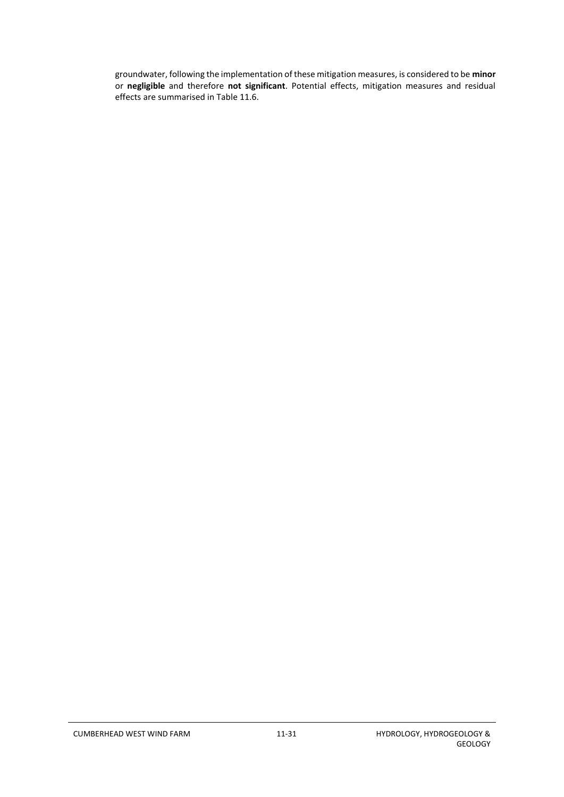groundwater, following the implementation of these mitigation measures, is considered to be **minor**  or **negligible** and therefore **not significant**. Potential effects, mitigation measures and residual effects are summarised in Table 11.6.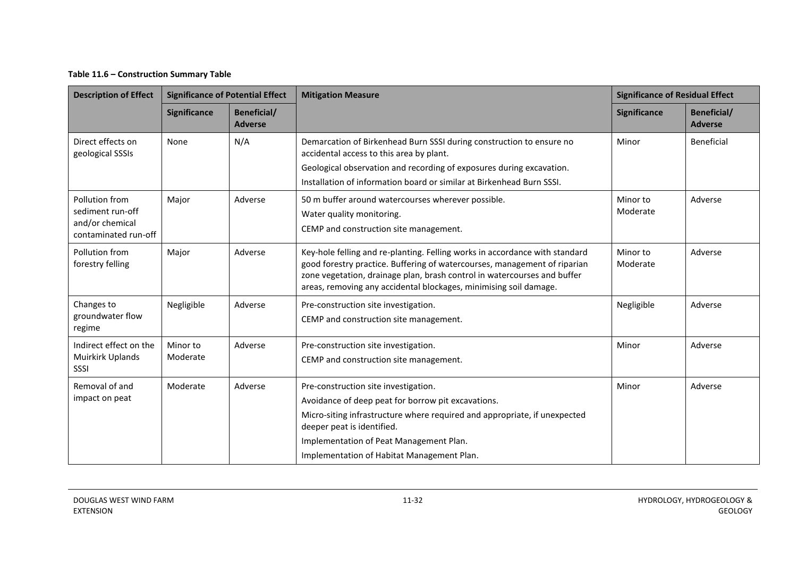#### **Table 11.6 – Construction Summary Table**

| <b>Description of Effect</b>                                                  | <b>Significance of Potential Effect</b> |                                      | <b>Mitigation Measure</b>                                                                                                                                                                                                                                                                                 | <b>Significance of Residual Effect</b> |                                      |
|-------------------------------------------------------------------------------|-----------------------------------------|--------------------------------------|-----------------------------------------------------------------------------------------------------------------------------------------------------------------------------------------------------------------------------------------------------------------------------------------------------------|----------------------------------------|--------------------------------------|
|                                                                               | <b>Significance</b>                     | <b>Beneficial/</b><br><b>Adverse</b> |                                                                                                                                                                                                                                                                                                           | <b>Significance</b>                    | <b>Beneficial/</b><br><b>Adverse</b> |
| Direct effects on<br>geological SSSIs                                         | None                                    | N/A                                  | Demarcation of Birkenhead Burn SSSI during construction to ensure no<br>accidental access to this area by plant.<br>Geological observation and recording of exposures during excavation.<br>Installation of information board or similar at Birkenhead Burn SSSI.                                         | Minor                                  | Beneficial                           |
| Pollution from<br>sediment run-off<br>and/or chemical<br>contaminated run-off | Major                                   | Adverse                              | 50 m buffer around watercourses wherever possible.<br>Water quality monitoring.<br>CEMP and construction site management.                                                                                                                                                                                 | Minor to<br>Moderate                   | Adverse                              |
| Pollution from<br>forestry felling                                            | Major                                   | Adverse                              | Key-hole felling and re-planting. Felling works in accordance with standard<br>good forestry practice. Buffering of watercourses, management of riparian<br>zone vegetation, drainage plan, brash control in watercourses and buffer<br>areas, removing any accidental blockages, minimising soil damage. | Minor to<br>Moderate                   | Adverse                              |
| Changes to<br>groundwater flow<br>regime                                      | Negligible                              | Adverse                              | Pre-construction site investigation.<br>CEMP and construction site management.                                                                                                                                                                                                                            | Negligible                             | Adverse                              |
| Indirect effect on the<br>Muirkirk Uplands<br>SSSI                            | Minor to<br>Moderate                    | Adverse                              | Pre-construction site investigation.<br>CEMP and construction site management.                                                                                                                                                                                                                            | Minor                                  | Adverse                              |
| Removal of and<br>impact on peat                                              | Moderate                                | Adverse                              | Pre-construction site investigation.<br>Avoidance of deep peat for borrow pit excavations.<br>Micro-siting infrastructure where required and appropriate, if unexpected<br>deeper peat is identified.<br>Implementation of Peat Management Plan.<br>Implementation of Habitat Management Plan.            | Minor                                  | Adverse                              |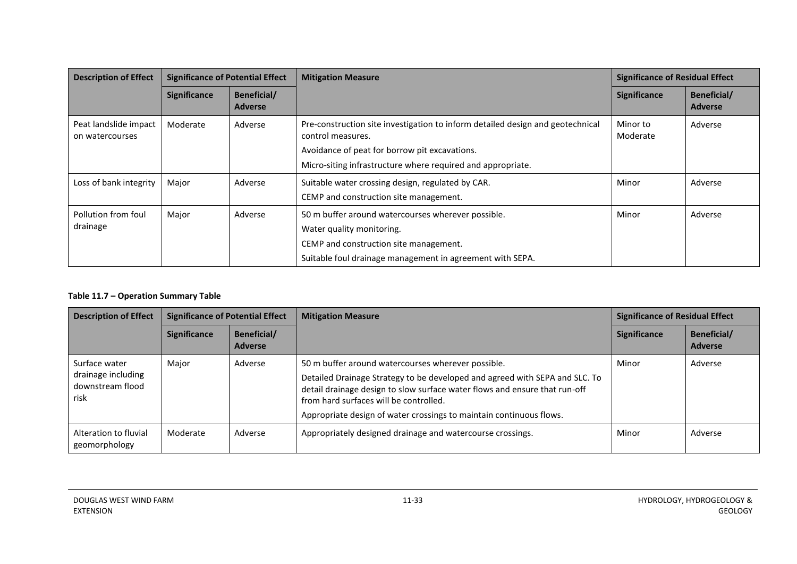| <b>Description of Effect</b>             | <b>Significance of Potential Effect</b> |                               | <b>Mitigation Measure</b>                                                                                                                                                                                           | <b>Significance of Residual Effect</b> |                                      |
|------------------------------------------|-----------------------------------------|-------------------------------|---------------------------------------------------------------------------------------------------------------------------------------------------------------------------------------------------------------------|----------------------------------------|--------------------------------------|
|                                          | <b>Significance</b>                     | Beneficial/<br><b>Adverse</b> |                                                                                                                                                                                                                     | <b>Significance</b>                    | <b>Beneficial/</b><br><b>Adverse</b> |
| Peat landslide impact<br>on watercourses | Moderate                                | Adverse                       | Pre-construction site investigation to inform detailed design and geotechnical<br>control measures.<br>Avoidance of peat for borrow pit excavations.<br>Micro-siting infrastructure where required and appropriate. | Minor to<br>Moderate                   | Adverse                              |
| Loss of bank integrity                   | Major                                   | Adverse                       | Suitable water crossing design, regulated by CAR.<br>CEMP and construction site management.                                                                                                                         | Minor                                  | Adverse                              |
| Pollution from foul<br>drainage          | Major                                   | Adverse                       | 50 m buffer around watercourses wherever possible.<br>Water quality monitoring.<br>CEMP and construction site management.<br>Suitable foul drainage management in agreement with SEPA.                              | Minor                                  | Adverse                              |

**Table 11.7 – Operation Summary Table**

| <b>Description of Effect</b>                                    | <b>Significance of Potential Effect</b> |                               | <b>Mitigation Measure</b>                                                                                                                                                                                                                                                                                                        | <b>Significance of Residual Effect</b> |                               |
|-----------------------------------------------------------------|-----------------------------------------|-------------------------------|----------------------------------------------------------------------------------------------------------------------------------------------------------------------------------------------------------------------------------------------------------------------------------------------------------------------------------|----------------------------------------|-------------------------------|
|                                                                 | <b>Significance</b>                     | Beneficial/<br><b>Adverse</b> |                                                                                                                                                                                                                                                                                                                                  | Significance                           | Beneficial/<br><b>Adverse</b> |
| Surface water<br>drainage including<br>downstream flood<br>risk | Major                                   | Adverse                       | 50 m buffer around watercourses wherever possible.<br>Detailed Drainage Strategy to be developed and agreed with SEPA and SLC. To<br>detail drainage design to slow surface water flows and ensure that run-off<br>from hard surfaces will be controlled.<br>Appropriate design of water crossings to maintain continuous flows. | Minor                                  | Adverse                       |
| Alteration to fluvial<br>geomorphology                          | Moderate                                | Adverse                       | Appropriately designed drainage and watercourse crossings.                                                                                                                                                                                                                                                                       | Minor                                  | Adverse                       |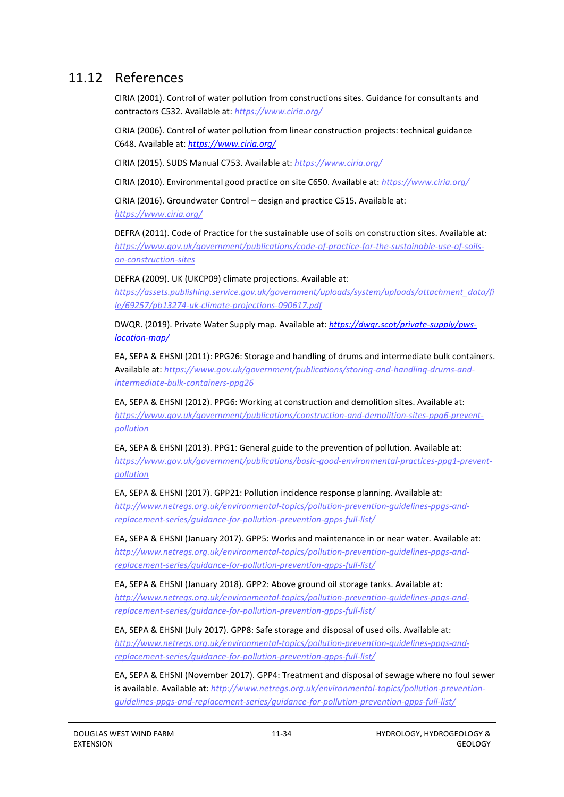# <span id="page-35-0"></span>11.12 References

CIRIA (2001). Control of water pollution from constructions sites. Guidance for consultants and contractors C532. Available at: *<https://www.ciria.org/>*

CIRIA (2006). Control of water pollution from linear construction projects: technical guidance C648. Available at: *<https://www.ciria.org/>*

CIRIA (2015). SUDS Manual C753. Available at: *<https://www.ciria.org/>*

CIRIA (2010). Environmental good practice on site C650. Available at: *<https://www.ciria.org/>*

CIRIA (2016). Groundwater Control – design and practice C515. Available at: *<https://www.ciria.org/>*

DEFRA (2011). Code of Practice for the sustainable use of soils on construction sites. Available at: *[https://www.gov.uk/government/publications/code-of-practice-for-the-sustainable-use-of-soils](https://www.gov.uk/government/publications/code-of-practice-for-the-sustainable-use-of-soils-on-construction-sites)[on-construction-sites](https://www.gov.uk/government/publications/code-of-practice-for-the-sustainable-use-of-soils-on-construction-sites)*

DEFRA (2009). UK (UKCP09) climate projections. Available at:

*[https://assets.publishing.service.gov.uk/government/uploads/system/uploads/attachment\\_data/fi](https://assets.publishing.service.gov.uk/government/uploads/system/uploads/attachment_data/file/69257/pb13274-uk-climate-projections-090617.pdf) [le/69257/pb13274-uk-climate-projections-090617.pdf](https://assets.publishing.service.gov.uk/government/uploads/system/uploads/attachment_data/file/69257/pb13274-uk-climate-projections-090617.pdf)*

DWQR. (2019). Private Water Supply map. Available at: *[https://dwqr.scot/private-supply/pws](https://dwqr.scot/private-supply/pws-location-map/)[location-map/](https://dwqr.scot/private-supply/pws-location-map/)*

EA, SEPA & EHSNI (2011): PPG26: Storage and handling of drums and intermediate bulk containers. Available at: *[https://www.gov.uk/government/publications/storing-and-handling-drums-and](https://www.gov.uk/government/publications/storing-and-handling-drums-and-intermediate-bulk-containers-ppg26)[intermediate-bulk-containers-ppg26](https://www.gov.uk/government/publications/storing-and-handling-drums-and-intermediate-bulk-containers-ppg26)*

EA, SEPA & EHSNI (2012). PPG6: Working at construction and demolition sites. Available at: *[https://www.gov.uk/government/publications/construction-and-demolition-sites-ppg6-prevent](https://www.gov.uk/government/publications/construction-and-demolition-sites-ppg6-prevent-pollution)[pollution](https://www.gov.uk/government/publications/construction-and-demolition-sites-ppg6-prevent-pollution)*

EA, SEPA & EHSNI (2013). PPG1: General guide to the prevention of pollution. Available at: *[https://www.gov.uk/government/publications/basic-good-environmental-practices-ppg1-prevent](https://www.gov.uk/government/publications/basic-good-environmental-practices-ppg1-prevent-pollution)[pollution](https://www.gov.uk/government/publications/basic-good-environmental-practices-ppg1-prevent-pollution)*

EA, SEPA & EHSNI (2017). GPP21: Pollution incidence response planning. Available at:

*[http://www.netregs.org.uk/environmental-topics/pollution-prevention-guidelines-ppgs-and](http://www.netregs.org.uk/environmental-topics/pollution-prevention-guidelines-ppgs-and-replacement-series/guidance-for-pollution-prevention-gpps-full-list/)[replacement-series/guidance-for-pollution-prevention-gpps-full-list/](http://www.netregs.org.uk/environmental-topics/pollution-prevention-guidelines-ppgs-and-replacement-series/guidance-for-pollution-prevention-gpps-full-list/)*

EA, SEPA & EHSNI (January 2017). GPP5: Works and maintenance in or near water. Available at: *[http://www.netregs.org.uk/environmental-topics/pollution-prevention-guidelines-ppgs-and](http://www.netregs.org.uk/environmental-topics/pollution-prevention-guidelines-ppgs-and-replacement-series/guidance-for-pollution-prevention-gpps-full-list/)[replacement-series/guidance-for-pollution-prevention-gpps-full-list/](http://www.netregs.org.uk/environmental-topics/pollution-prevention-guidelines-ppgs-and-replacement-series/guidance-for-pollution-prevention-gpps-full-list/)*

EA, SEPA & EHSNI (January 2018). GPP2: Above ground oil storage tanks. Available at: *[http://www.netregs.org.uk/environmental-topics/pollution-prevention-guidelines-ppgs-and](http://www.netregs.org.uk/environmental-topics/pollution-prevention-guidelines-ppgs-and-replacement-series/guidance-for-pollution-prevention-gpps-full-list/)[replacement-series/guidance-for-pollution-prevention-gpps-full-list/](http://www.netregs.org.uk/environmental-topics/pollution-prevention-guidelines-ppgs-and-replacement-series/guidance-for-pollution-prevention-gpps-full-list/)*

EA, SEPA & EHSNI (July 2017). GPP8: Safe storage and disposal of used oils. Available at: *[http://www.netregs.org.uk/environmental-topics/pollution-prevention-guidelines-ppgs-and](http://www.netregs.org.uk/environmental-topics/pollution-prevention-guidelines-ppgs-and-replacement-series/guidance-for-pollution-prevention-gpps-full-list/)[replacement-series/guidance-for-pollution-prevention-gpps-full-list/](http://www.netregs.org.uk/environmental-topics/pollution-prevention-guidelines-ppgs-and-replacement-series/guidance-for-pollution-prevention-gpps-full-list/)*

EA, SEPA & EHSNI (November 2017). GPP4: Treatment and disposal of sewage where no foul sewer is available. Available at: *[http://www.netregs.org.uk/environmental-topics/pollution-prevention](http://www.netregs.org.uk/environmental-topics/pollution-prevention-guidelines-ppgs-and-replacement-series/guidance-for-pollution-prevention-gpps-full-list/)[guidelines-ppgs-and-replacement-series/guidance-for-pollution-prevention-gpps-full-list/](http://www.netregs.org.uk/environmental-topics/pollution-prevention-guidelines-ppgs-and-replacement-series/guidance-for-pollution-prevention-gpps-full-list/)*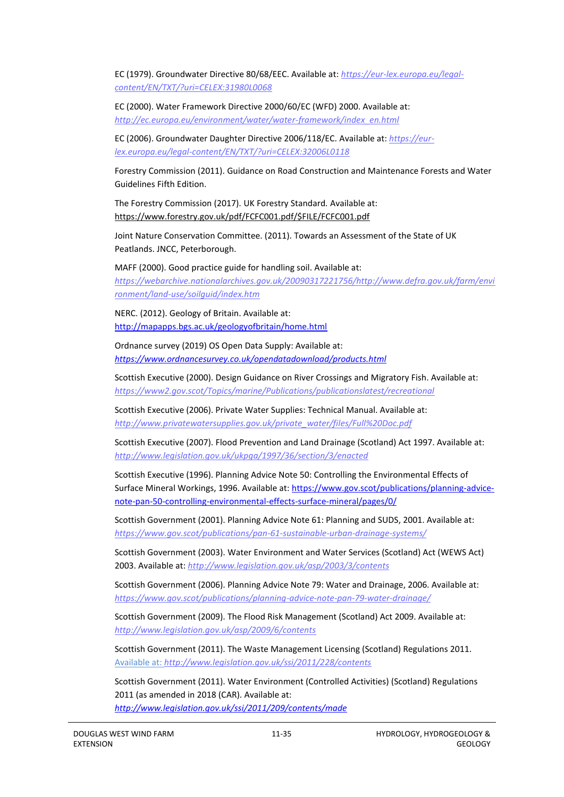EC (1979). Groundwater Directive 80/68/EEC. Available at: *[https://eur-lex.europa.eu/legal](https://eur-lex.europa.eu/legal-content/EN/TXT/?uri=CELEX:31980L0068)[content/EN/TXT/?uri=CELEX:31980L0068](https://eur-lex.europa.eu/legal-content/EN/TXT/?uri=CELEX:31980L0068)*

EC (2000). Water Framework Directive 2000/60/EC (WFD) 2000. Available at: *[http://ec.europa.eu/environment/water/water-framework/index\\_en.html](http://ec.europa.eu/environment/water/water-framework/index_en.html)*

EC (2006). Groundwater Daughter Directive 2006/118/EC. Available at: *[https://eur](https://eur-lex.europa.eu/legal-content/EN/TXT/?uri=CELEX:32006L0118)[lex.europa.eu/legal-content/EN/TXT/?uri=CELEX:32006L0118](https://eur-lex.europa.eu/legal-content/EN/TXT/?uri=CELEX:32006L0118)*

Forestry Commission (2011). Guidance on Road Construction and Maintenance Forests and Water Guidelines Fifth Edition.

The Forestry Commission (2017). UK Forestry Standard*.* Available at: [https://www.forestry.gov.uk/pdf/FCFC001.pdf/\\$FILE/FCFC001.pdf](https://www.forestry.gov.uk/pdf/FCFC001.pdf/$FILE/FCFC001.pdf)

Joint Nature Conservation Committee. (2011). Towards an Assessment of the State of UK Peatlands. JNCC, Peterborough.

MAFF (2000). Good practice guide for handling soil. Available at: *[https://webarchive.nationalarchives.gov.uk/20090317221756/http://www.defra.gov.uk/farm/envi](https://webarchive.nationalarchives.gov.uk/20090317221756/http:/www.defra.gov.uk/farm/environment/land-use/soilguid/index.htm) [ronment/land-use/soilguid/index.htm](https://webarchive.nationalarchives.gov.uk/20090317221756/http:/www.defra.gov.uk/farm/environment/land-use/soilguid/index.htm)*

NERC. (2012). Geology of Britain. Available at: <http://mapapps.bgs.ac.uk/geologyofbritain/home.html>

Ordnance survey (2019) OS Open Data Supply: Available at: *<https://www.ordnancesurvey.co.uk/opendatadownload/products.html>*

Scottish Executive (2000). Design Guidance on River Crossings and Migratory Fish. Available at: *<https://www2.gov.scot/Topics/marine/Publications/publicationslatest/recreational>*

Scottish Executive (2006). Private Water Supplies: Technical Manual. Available at: *[http://www.privatewatersupplies.gov.uk/private\\_water/files/Full%20Doc.pdf](http://www.privatewatersupplies.gov.uk/private_water/files/Full%20Doc.pdf)*

Scottish Executive (2007). Flood Prevention and Land Drainage (Scotland) Act 1997. Available at: *<http://www.legislation.gov.uk/ukpga/1997/36/section/3/enacted>*

Scottish Executive (1996). Planning Advice Note 50: Controlling the Environmental Effects of Surface Mineral Workings, 1996. Available at: [https://www.gov.scot/publications/planning-advice](https://www.gov.scot/publications/planning-advice-note-pan-50-controlling-environmental-effects-surface-mineral/pages/0/)[note-pan-50-controlling-environmental-effects-surface-mineral/pages/0/](https://www.gov.scot/publications/planning-advice-note-pan-50-controlling-environmental-effects-surface-mineral/pages/0/)

Scottish Government (2001). Planning Advice Note 61: Planning and SUDS, 2001. Available at: *<https://www.gov.scot/publications/pan-61-sustainable-urban-drainage-systems/>*

Scottish Government (2003). Water Environment and Water Services (Scotland) Act (WEWS Act) 2003. Available at: *<http://www.legislation.gov.uk/asp/2003/3/contents>*

Scottish Government (2006). Planning Advice Note 79: Water and Drainage, 2006. Available at: *<https://www.gov.scot/publications/planning-advice-note-pan-79-water-drainage/>*

Scottish Government (2009). The Flood Risk Management (Scotland) Act 2009. Available at: *<http://www.legislation.gov.uk/asp/2009/6/contents>*

Scottish Government (2011). The Waste Management Licensing (Scotland) Regulations 2011. Available at: *<http://www.legislation.gov.uk/ssi/2011/228/contents>*

Scottish Government (2011). Water Environment (Controlled Activities) (Scotland) Regulations 2011 (as amended in 2018 (CAR). Available at: *<http://www.legislation.gov.uk/ssi/2011/209/contents/made>*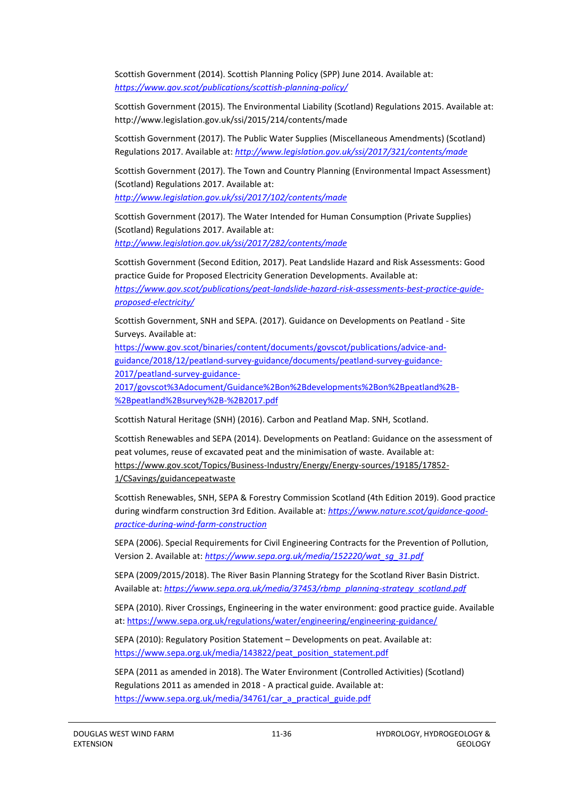Scottish Government (2014). Scottish Planning Policy (SPP) June 2014. Available at: *<https://www.gov.scot/publications/scottish-planning-policy/>*

Scottish Government (2015). The Environmental Liability (Scotland) Regulations 2015. Available at: http://www.legislation.gov.uk/ssi/2015/214/contents/made

Scottish Government (2017). The Public Water Supplies (Miscellaneous Amendments) (Scotland) Regulations 2017. Available at: *<http://www.legislation.gov.uk/ssi/2017/321/contents/made>*

Scottish Government (2017). The Town and Country Planning (Environmental Impact Assessment) (Scotland) Regulations 2017. Available at:

*<http://www.legislation.gov.uk/ssi/2017/102/contents/made>*

Scottish Government (2017). The Water Intended for Human Consumption (Private Supplies) (Scotland) Regulations 2017. Available at: *<http://www.legislation.gov.uk/ssi/2017/282/contents/made>*

Scottish Government (Second Edition, 2017). Peat Landslide Hazard and Risk Assessments: Good practice Guide for Proposed Electricity Generation Developments. Available at: *[https://www.gov.scot/publications/peat-landslide-hazard-risk-assessments-best-practice-guide-](https://www.gov.scot/publications/peat-landslide-hazard-risk-assessments-best-practice-guide-proposed-electricity/)*

*[proposed-electricity/](https://www.gov.scot/publications/peat-landslide-hazard-risk-assessments-best-practice-guide-proposed-electricity/)*

Scottish Government, SNH and SEPA. (2017). Guidance on Developments on Peatland - Site Surveys. Available at:

[https://www.gov.scot/binaries/content/documents/govscot/publications/advice-and](https://www.gov.scot/binaries/content/documents/govscot/publications/advice-and-guidance/2018/12/peatland-survey-guidance/documents/peatland-survey-guidance-2017/peatland-survey-guidance-2017/govscot%3Adocument/Guidance%2Bon%2Bdevelopments%2Bon%2Bpeatland%2B-%2Bpeatland%2Bsurvey%2B-%2B2017.pdf)[guidance/2018/12/peatland-survey-guidance/documents/peatland-survey-guidance-](https://www.gov.scot/binaries/content/documents/govscot/publications/advice-and-guidance/2018/12/peatland-survey-guidance/documents/peatland-survey-guidance-2017/peatland-survey-guidance-2017/govscot%3Adocument/Guidance%2Bon%2Bdevelopments%2Bon%2Bpeatland%2B-%2Bpeatland%2Bsurvey%2B-%2B2017.pdf)[2017/peatland-survey-guidance-](https://www.gov.scot/binaries/content/documents/govscot/publications/advice-and-guidance/2018/12/peatland-survey-guidance/documents/peatland-survey-guidance-2017/peatland-survey-guidance-2017/govscot%3Adocument/Guidance%2Bon%2Bdevelopments%2Bon%2Bpeatland%2B-%2Bpeatland%2Bsurvey%2B-%2B2017.pdf)

[2017/govscot%3Adocument/Guidance%2Bon%2Bdevelopments%2Bon%2Bpeatland%2B-](https://www.gov.scot/binaries/content/documents/govscot/publications/advice-and-guidance/2018/12/peatland-survey-guidance/documents/peatland-survey-guidance-2017/peatland-survey-guidance-2017/govscot%3Adocument/Guidance%2Bon%2Bdevelopments%2Bon%2Bpeatland%2B-%2Bpeatland%2Bsurvey%2B-%2B2017.pdf) [%2Bpeatland%2Bsurvey%2B-%2B2017.pdf](https://www.gov.scot/binaries/content/documents/govscot/publications/advice-and-guidance/2018/12/peatland-survey-guidance/documents/peatland-survey-guidance-2017/peatland-survey-guidance-2017/govscot%3Adocument/Guidance%2Bon%2Bdevelopments%2Bon%2Bpeatland%2B-%2Bpeatland%2Bsurvey%2B-%2B2017.pdf)

Scottish Natural Heritage (SNH) (2016). Carbon and Peatland Map. SNH, Scotland.

Scottish Renewables and SEPA (2014). Developments on Peatland: Guidance on the assessment of peat volumes, reuse of excavated peat and the minimisation of waste*.* Available at: [https://www.gov.scot/Topics/Business-Industry/Energy/Energy-sources/19185/17852-](https://www.gov.scot/Topics/Business-Industry/Energy/Energy-sources/19185/17852-1/CSavings/guidancepeatwaste) [1/CSavings/guidancepeatwaste](https://www.gov.scot/Topics/Business-Industry/Energy/Energy-sources/19185/17852-1/CSavings/guidancepeatwaste)

Scottish Renewables, SNH, SEPA & Forestry Commission Scotland (4th Edition 2019). Good practice during windfarm construction 3rd Edition. Available at: *[https://www.nature.scot/guidance-good](https://www.nature.scot/guidance-good-practice-during-wind-farm-construction)[practice-during-wind-farm-construction](https://www.nature.scot/guidance-good-practice-during-wind-farm-construction)*

SEPA (2006). Special Requirements for Civil Engineering Contracts for the Prevention of Pollution, Version 2. Available at: *[https://www.sepa.org.uk/media/152220/wat\\_sg\\_31.pdf](https://www.sepa.org.uk/media/152220/wat_sg_31.pdf)*

SEPA (2009/2015/2018). The River Basin Planning Strategy for the Scotland River Basin District. Available at: *[https://www.sepa.org.uk/media/37453/rbmp\\_planning-strategy\\_scotland.pdf](https://www.sepa.org.uk/media/37453/rbmp_planning-strategy_scotland.pdf)*

SEPA (2010). River Crossings, Engineering in the water environment: good practice guide. Available at:<https://www.sepa.org.uk/regulations/water/engineering/engineering-guidance/>

SEPA (2010): Regulatory Position Statement – Developments on peat. Available at: [https://www.sepa.org.uk/media/143822/peat\\_position\\_statement.pdf](https://www.sepa.org.uk/media/143822/peat_position_statement.pdf)

SEPA (2011 as amended in 2018). The Water Environment (Controlled Activities) (Scotland) Regulations 2011 as amended in 2018 - A practical guide. Available at: [https://www.sepa.org.uk/media/34761/car\\_a\\_practical\\_guide.pdf](https://www.sepa.org.uk/media/34761/car_a_practical_guide.pdf)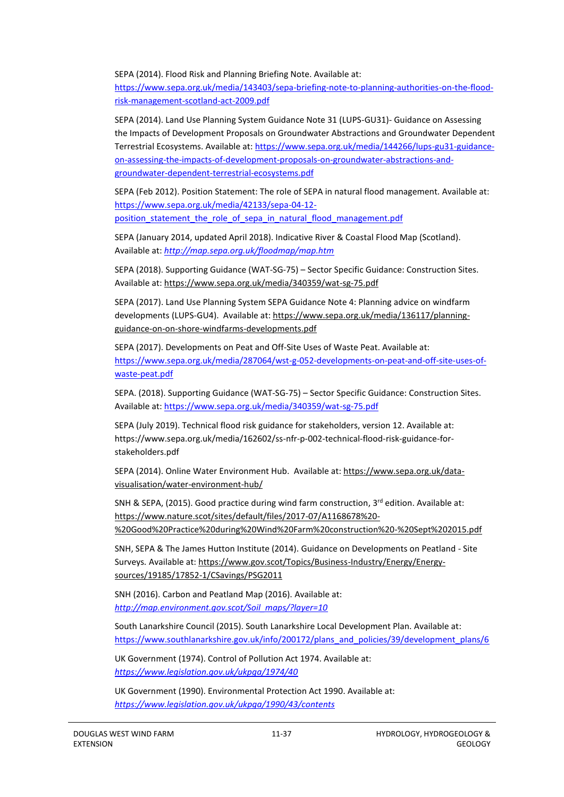SEPA (2014). Flood Risk and Planning Briefing Note. Available at:

[https://www.sepa.org.uk/media/143403/sepa-briefing-note-to-planning-authorities-on-the-flood](https://www.sepa.org.uk/media/143403/sepa-briefing-note-to-planning-authorities-on-the-flood-risk-management-scotland-act-2009.pdf)[risk-management-scotland-act-2009.pdf](https://www.sepa.org.uk/media/143403/sepa-briefing-note-to-planning-authorities-on-the-flood-risk-management-scotland-act-2009.pdf)

SEPA (2014). Land Use Planning System Guidance Note 31 (LUPS-GU31)- Guidance on Assessing the Impacts of Development Proposals on Groundwater Abstractions and Groundwater Dependent Terrestrial Ecosystems. Available at: [https://www.sepa.org.uk/media/144266/lups-gu31-guidance](https://www.sepa.org.uk/media/144266/lups-gu31-guidance-on-assessing-the-impacts-of-development-proposals-on-groundwater-abstractions-and-groundwater-dependent-terrestrial-ecosystems.pdf)[on-assessing-the-impacts-of-development-proposals-on-groundwater-abstractions-and](https://www.sepa.org.uk/media/144266/lups-gu31-guidance-on-assessing-the-impacts-of-development-proposals-on-groundwater-abstractions-and-groundwater-dependent-terrestrial-ecosystems.pdf)[groundwater-dependent-terrestrial-ecosystems.pdf](https://www.sepa.org.uk/media/144266/lups-gu31-guidance-on-assessing-the-impacts-of-development-proposals-on-groundwater-abstractions-and-groundwater-dependent-terrestrial-ecosystems.pdf)

SEPA (Feb 2012). Position Statement: The role of SEPA in natural flood management. Available at: [https://www.sepa.org.uk/media/42133/sepa-04-12](https://www.sepa.org.uk/media/42133/sepa-04-12-position_statement_the_role_of_sepa_in_natural_flood_management.pdf) position statement the role of sepa in natural flood management.pdf

SEPA (January 2014, updated April 2018). Indicative River & Coastal Flood Map (Scotland). Available at: *<http://map.sepa.org.uk/floodmap/map.htm>*

SEPA (2018). Supporting Guidance (WAT-SG-75) – Sector Specific Guidance: Construction Sites. Available at[: https://www.sepa.org.uk/media/340359/wat-sg-75.pdf](https://www.sepa.org.uk/media/340359/wat-sg-75.pdf)

SEPA (2017). Land Use Planning System SEPA Guidance Note 4: Planning advice on windfarm developments (LUPS-GU4). Available at: [https://www.sepa.org.uk/media/136117/planning](https://www.sepa.org.uk/media/136117/planning-guidance-on-on-shore-windfarms-developments.pdf)[guidance-on-on-shore-windfarms-developments.pdf](https://www.sepa.org.uk/media/136117/planning-guidance-on-on-shore-windfarms-developments.pdf)

SEPA (2017). Developments on Peat and Off-Site Uses of Waste Peat. Available at: [https://www.sepa.org.uk/media/287064/wst-g-052-developments-on-peat-and-off-site-uses-of](https://www.sepa.org.uk/media/287064/wst-g-052-developments-on-peat-and-off-site-uses-of-waste-peat.pdf)[waste-peat.pdf](https://www.sepa.org.uk/media/287064/wst-g-052-developments-on-peat-and-off-site-uses-of-waste-peat.pdf)

SEPA. (2018). Supporting Guidance (WAT-SG-75) – Sector Specific Guidance: Construction Sites. Available at[: https://www.sepa.org.uk/media/340359/wat-sg-75.pdf](https://www.sepa.org.uk/media/340359/wat-sg-75.pdf) 

SEPA (July 2019). Technical flood risk guidance for stakeholders, version 12. Available at: https://www.sepa.org.uk/media/162602/ss-nfr-p-002-technical-flood-risk-guidance-forstakeholders.pdf

SEPA (2014). Online Water Environment Hub. Available at[: https://www.sepa.org.uk/data](https://www.sepa.org.uk/data-visualisation/water-environment-hub/)[visualisation/water-environment-hub/](https://www.sepa.org.uk/data-visualisation/water-environment-hub/)

SNH & SEPA, (2015). Good practice during wind farm construction,  $3<sup>rd</sup>$  edition. Available at: [https://www.nature.scot/sites/default/files/2017-07/A1168678%20-](https://www.nature.scot/sites/default/files/2017-07/A1168678%20-%20Good%20Practice%20during%20Wind%20Farm%20construction%20-%20Sept%202015.pdf) [%20Good%20Practice%20during%20Wind%20Farm%20construction%20-%20Sept%202015.pdf](https://www.nature.scot/sites/default/files/2017-07/A1168678%20-%20Good%20Practice%20during%20Wind%20Farm%20construction%20-%20Sept%202015.pdf)

SNH, SEPA & The James Hutton Institute (2014). Guidance on Developments on Peatland - Site Surveys*.* Available at: [https://www.gov.scot/Topics/Business-Industry/Energy/Energy](https://www.gov.scot/Topics/Business-Industry/Energy/Energy-sources/19185/17852-1/CSavings/PSG2011)[sources/19185/17852-1/CSavings/PSG2011](https://www.gov.scot/Topics/Business-Industry/Energy/Energy-sources/19185/17852-1/CSavings/PSG2011)

SNH (2016). Carbon and Peatland Map (2016). Available at: *[http://map.environment.gov.scot/Soil\\_maps/?layer=10](http://map.environment.gov.scot/Soil_maps/?layer=10)*

South Lanarkshire Council (2015). South Lanarkshire Local Development Plan. Available at: [https://www.southlanarkshire.gov.uk/info/200172/plans\\_and\\_policies/39/development\\_plans/6](https://www.southlanarkshire.gov.uk/info/200172/plans_and_policies/39/development_plans/6)

UK Government (1974). Control of Pollution Act 1974. Available at: *<https://www.legislation.gov.uk/ukpga/1974/40>*

UK Government (1990). Environmental Protection Act 1990. Available at: *<https://www.legislation.gov.uk/ukpga/1990/43/contents>*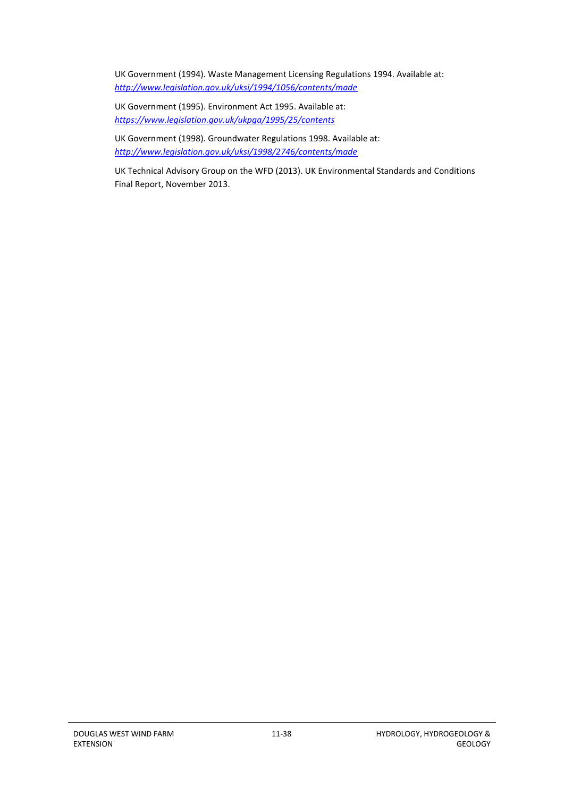UK Government (1994). Waste Management Licensing Regulations 1994. Available at: *<http://www.legislation.gov.uk/uksi/1994/1056/contents/made>*

UK Government (1995). Environment Act 1995. Available at: *<https://www.legislation.gov.uk/ukpga/1995/25/contents>*

UK Government (1998). Groundwater Regulations 1998. Available at: *<http://www.legislation.gov.uk/uksi/1998/2746/contents/made>*

UK Technical Advisory Group on the WFD (2013). UK Environmental Standards and Conditions Final Report, November 2013.